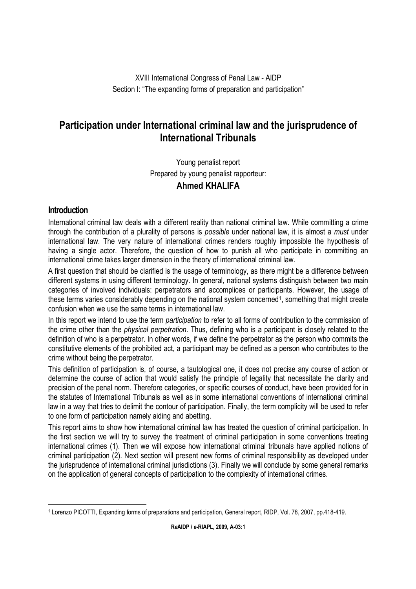XVIII International Congress of Penal Law - AIDP Section I: "The expanding forms of preparation and participation"

# **Participation under International criminal law and the jurisprudence of International Tribunals**

Young penalist report Prepared by young penalist rapporteur: **Ahmed KHALIFA**

# **Introduction**

International criminal law deals with a different reality than national criminal law. While committing a crime through the contribution of a plurality of persons is *possible* under national law, it is almost a *must* under international law. The very nature of international crimes renders roughly impossible the hypothesis of having a single actor. Therefore, the question of how to punish all who participate in committing an international crime takes larger dimension in the theory of international criminal law.

A first question that should be clarified is the usage of terminology, as there might be a difference between different systems in using different terminology. In general, national systems distinguish between two main categories of involved individuals: perpetrators and accomplices or participants. However, the usage of these terms varies considerably depending on the national system concerned<sup>1</sup>, something that might create confusion when we use the same terms in international law.

In this report we intend to use the term *participation* to refer to all forms of contribution to the commission of the crime other than the *physical perpetration*. Thus, defining who is a participant is closely related to the definition of who is a perpetrator. In other words, if we define the perpetrator as the person who commits the constitutive elements of the prohibited act, a participant may be defined as a person who contributes to the crime without being the perpetrator.

This definition of participation is, of course, a tautological one, it does not precise any course of action or determine the course of action that would satisfy the principle of legality that necessitate the clarity and precision of the penal norm. Therefore categories, or specific courses of conduct, have been provided for in the statutes of International Tribunals as well as in some international conventions of international criminal law in a way that tries to delimit the contour of participation. Finally, the term complicity will be used to refer to one form of participation namely aiding and abetting.

This report aims to show how international criminal law has treated the question of criminal participation. In the first section we will try to survey the treatment of criminal participation in some conventions treating international crimes (1). Then we will expose how international criminal tribunals have applied notions of criminal participation (2). Next section will present new forms of criminal responsibility as developed under the jurisprudence of international criminal jurisdictions (3). Finally we will conclude by some general remarks on the application of general concepts of participation to the complexity of international crimes.

 $\overline{a}$ 1 Lorenzo PICOTTI, Expanding forms of preparations and participation, General report, RIDP, Vol. 78, 2007, pp.418-419.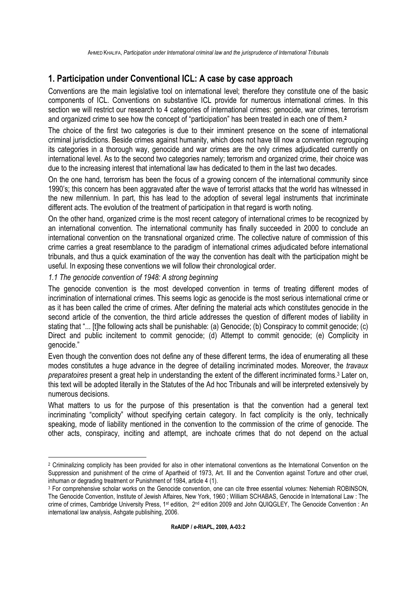# **1. Participation under Conventional ICL: A case by case approach**

Conventions are the main legislative tool on international level; therefore they constitute one of the basic components of ICL. Conventions on substantive ICL provide for numerous international crimes. In this section we will restrict our research to 4 categories of international crimes: genocide, war crimes, terrorism and organized crime to see how the concept of "participation" has been treated in each one of them.**<sup>2</sup>**

The choice of the first two categories is due to their imminent presence on the scene of international criminal jurisdictions. Beside crimes against humanity, which does not have till now a convention regrouping its categories in a thorough way, genocide and war crimes are the only crimes adjudicated currently on international level. As to the second two categories namely; terrorism and organized crime, their choice was due to the increasing interest that international law has dedicated to them in the last two decades.

On the one hand, terrorism has been the focus of a growing concern of the international community since 1990's; this concern has been aggravated after the wave of terrorist attacks that the world has witnessed in the new millennium. In part, this has lead to the adoption of several legal instruments that incriminate different acts. The evolution of the treatment of participation in that regard is worth noting.

On the other hand, organized crime is the most recent category of international crimes to be recognized by an international convention. The international community has finally succeeded in 2000 to conclude an international convention on the transnational organized crime. The collective nature of commission of this crime carries a great resemblance to the paradigm of international crimes adjudicated before international tribunals, and thus a quick examination of the way the convention has dealt with the participation might be useful. In exposing these conventions we will follow their chronological order.

#### *1.1 The genocide convention of 1948: A strong beginning*

The genocide convention is the most developed convention in terms of treating different modes of incrimination of international crimes. This seems logic as genocide is the most serious international crime or as it has been called the crime of crimes. After defining the material acts which constitutes genocide in the second article of the convention, the third article addresses the question of different modes of liability in stating that "... [t]he following acts shall be punishable: (a) Genocide; (b) Conspiracy to commit genocide; (c) Direct and public incitement to commit genocide; (d) Attempt to commit genocide; (e) Complicity in genocide."

Even though the convention does not define any of these different terms, the idea of enumerating all these modes constitutes a huge advance in the degree of detailing incriminated modes. Moreover, the *travaux preparatoires* present a great help in understanding the extent of the different incriminated forms.<sup>3</sup> Later on, this text will be adopted literally in the Statutes of the Ad hoc Tribunals and will be interpreted extensively by numerous decisions.

What matters to us for the purpose of this presentation is that the convention had a general text incriminating "complicity" without specifying certain category. In fact complicity is the only, technically speaking, mode of liability mentioned in the convention to the commission of the crime of genocide. The other acts, conspiracy, inciting and attempt, are inchoate crimes that do not depend on the actual

 $\overline{a}$ 2 Criminalizing complicity has been provided for also in other international conventions as the International Convention on the Suppression and punishment of the crime of Apartheid of 1973, Art. III and the Convention against Torture and other cruel, inhuman or degrading treatment or Punishment of 1984, article 4 (1).

<sup>3</sup> For comprehensive scholar works on the Genocide convention, one can cite three essential volumes: Nehemiah ROBINSON, The Genocide Convention, Institute of Jewish Affaires, New York, 1960 ; William SCHABAS, Genocide in International Law : The crime of crimes, Cambridge University Press, 1<sup>st</sup> edition, 2<sup>nd</sup> edition 2009 and John QUIQGLEY, The Genocide Convention : An international law analysis, Ashgate publisihing, 2006.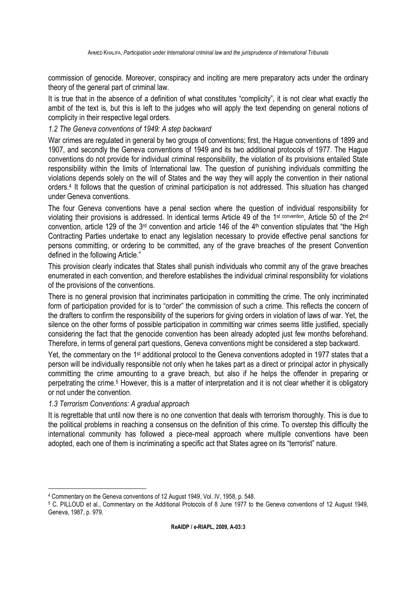commission of genocide. Moreover, conspiracy and inciting are mere preparatory acts under the ordinary theory of the general part of criminal law.

It is true that in the absence of a definition of what constitutes "complicity", it is not clear what exactly the ambit of the text is, but this is left to the judges who will apply the text depending on general notions of complicity in their respective legal orders.

# *1.2 The Geneva conventions of 1949: A step backward*

War crimes are regulated in general by two groups of conventions; first, the Hague conventions of 1899 and 1907, and secondly the Geneva conventions of 1949 and its two additional protocols of 1977. The Hague conventions do not provide for individual criminal responsibility, the violation of its provisions entailed State responsibility within the limits of International law. The question of punishing individuals committing the violations depends solely on the will of States and the way they will apply the convention in their national orders.<sup>4</sup> It follows that the question of criminal participation is not addressed. This situation has changed under Geneva conventions.

The four Geneva conventions have a penal section where the question of individual responsibility for violating their provisions is addressed. In identical terms Article 49 of the 1st convention, Article 50 of the 2nd convention, article 129 of the 3rd convention and article 146 of the 4th convention stipulates that "the High Contracting Parties undertake to enact any legislation necessary to provide effective penal sanctions for persons committing, or ordering to be committed, any of the grave breaches of the present Convention defined in the following Article."

This provision clearly indicates that States shall punish individuals who commit any of the grave breaches enumerated in each convention, and therefore establishes the individual criminal responsibility for violations of the provisions of the conventions.

There is no general provision that incriminates participation in committing the crime. The only incriminated form of participation provided for is to "order" the commission of such a crime. This reflects the concern of the drafters to confirm the responsibility of the superiors for giving orders in violation of laws of war. Yet, the silence on the other forms of possible participation in committing war crimes seems little justified, specially considering the fact that the genocide convention has been already adopted just few months beforehand. Therefore, in terms of general part questions, Geneva conventions might be considered a step backward.

Yet, the commentary on the 1<sup>st</sup> additional protocol to the Geneva conventions adopted in 1977 states that a person will be individually responsible not only when he takes part as a direct or principal actor in physically committing the crime amounting to a grave breach, but also if he helps the offender in preparing or perpetrating the crime.<sup>5</sup> However, this is a matter of interpretation and it is not clear whether it is obligatory or not under the convention.

# *1.3 Terrorism Conventions: A gradual approach*

 $\overline{a}$ 

It is regrettable that until now there is no one convention that deals with terrorism thoroughly. This is due to the political problems in reaching a consensus on the definition of this crime. To overstep this difficulty the international community has followed a piece-meal approach where multiple conventions have been adopted, each one of them is incriminating a specific act that States agree on its "terrorist" nature.

<sup>4</sup> Commentary on the Geneva conventions of 12 August 1949, Vol. IV, 1958, p. 548.

<sup>5</sup> C. PILLOUD et al., Commentary on the Additional Protocols of 8 June 1977 to the Geneva conventions of 12 August 1949, Geneva, 1987, p. 979.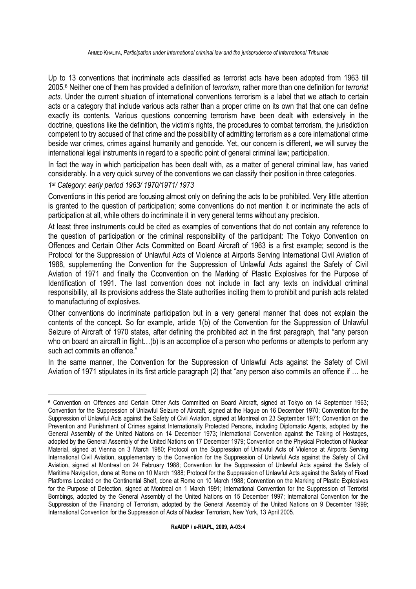Up to 13 conventions that incriminate acts classified as terrorist acts have been adopted from 1963 till 2005.<sup>6</sup> Neither one of them has provided a definition of *terrorism*, rather more than one definition for *terrorist acts*. Under the current situation of international conventions terrorism is a label that we attach to certain acts or a category that include various acts rather than a proper crime on its own that that one can define exactly its contents. Various questions concerning terrorism have been dealt with extensively in the doctrine, questions like the definition, the victim's rights, the procedures to combat terrorism, the jurisdiction competent to try accused of that crime and the possibility of admitting terrorism as a core international crime beside war crimes, crimes against humanity and genocide. Yet, our concern is different, we will survey the international legal instruments in regard to a specific point of general criminal law; participation.

In fact the way in which participation has been dealt with, as a matter of general criminal law, has varied considerably. In a very quick survey of the conventions we can classify their position in three categories.

# *1 st Category: early period 1963/ 1970/1971/ 1973*

Conventions in this period are focusing almost only on defining the acts to be prohibited. Very little attention is granted to the question of participation; some conventions do not mention it or incriminate the acts of participation at all, while others do incriminate it in very general terms without any precision.

At least three instruments could be cited as examples of conventions that do not contain any reference to the question of participation or the criminal responsibility of the participant: The Tokyo Convention on Offences and Certain Other Acts Committed on Board Aircraft of 1963 is a first example; second is the Protocol for the Suppression of Unlawful Acts of Violence at Airports Serving International Civil Aviation of 1988, supplementing the Convention for the Suppression of Unlawful Acts against the Safety of Civil Aviation of 1971 and finally the Cconvention on the Marking of Plastic Explosives for the Purpose of Identification of 1991. The last convention does not include in fact any texts on individual criminal responsibility, all its provisions address the State authorities inciting them to prohibit and punish acts related to manufacturing of explosives.

Other conventions do incriminate participation but in a very general manner that does not explain the contents of the concept. So for example, article 1(b) of the Convention for the Suppression of Unlawful Seizure of Aircraft of 1970 states, after defining the prohibited act in the first paragraph, that "any person who on board an aircraft in flight...(b) is an accomplice of a person who performs or attempts to perform any such act commits an offence."

In the same manner, the Convention for the Suppression of Unlawful Acts against the Safety of Civil Aviation of 1971 stipulates in its first article paragraph (2) that "any person also commits an offence if … he

<sup>6</sup> Convention on Offences and Certain Other Acts Committed on Board Aircraft, signed at Tokyo on 14 September 1963; Convention for the Suppression of Unlawful Seizure of Aircraft, signed at the Hague on 16 December 1970; Convention for the Suppression of Unlawful Acts against the Safety of Civil Aviation, signed at Montreal on 23 September 1971; Convention on the Prevention and Punishment of Crimes against Internationally Protected Persons, including Diplomatic Agents, adopted by the General Assembly of the United Nations on 14 December 1973; International Convention against the Taking of Hostages, adopted by the General Assembly of the United Nations on 17 December 1979; Convention on the Physical Protection of Nuclear Material, signed at Vienna on 3 March 1980; Protocol on the Suppression of Unlawful Acts of Violence at Airports Serving International Civil Aviation, supplementary to the Convention for the Suppression of Unlawful Acts against the Safety of Civil Aviation, signed at Montreal on 24 February 1988; Convention for the Suppression of Unlawful Acts against the Safety of Maritime Navigation, done at Rome on 10 March 1988*;* Protocol for the Suppression of Unlawful Acts against the Safety of Fixed Platforms Located on the Continental Shelf, done at Rome on 10 March 1988; Convention on the Marking of Plastic Explosives for the Purpose of Detection, signed at Montreal on 1 March 1991; International Convention for the Suppression of Terrorist Bombings, adopted by the General Assembly of the United Nations on 15 December 1997; International Convention for the Suppression of the Financing of Terrorism, adopted by the General Assembly of the United Nations on 9 December 1999; International Convention for the Suppression of Acts of Nuclear Terrorism, New York, 13 April 2005.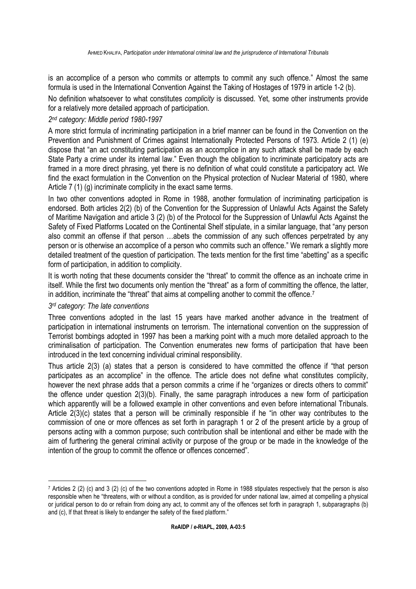is an accomplice of a person who commits or attempts to commit any such offence." Almost the same formula is used in the International Convention Against the Taking of Hostages of 1979 in article 1-2 (b).

No definition whatsoever to what constitutes *complicity* is discussed. Yet, some other instruments provide for a relatively more detailed approach of participation.

# *2 nd category: Middle period 1980-1997*

A more strict formula of incriminating participation in a brief manner can be found in the Convention on the Prevention and Punishment of Crimes against Internationally Protected Persons of 1973. Article 2 (1) (e) dispose that "an act constituting participation as an accomplice in any such attack shall be made by each State Party a crime under its internal law." Even though the obligation to incriminate participatory acts are framed in a more direct phrasing, yet there is no definition of what could constitute a participatory act. We find the exact formulation in the Convention on the Physical protection of Nuclear Material of 1980, where Article 7 (1) (g) incriminate complicity in the exact same terms.

In two other conventions adopted in Rome in 1988, another formulation of incriminating participation is endorsed. Both articles 2(2) (b) of the Convention for the Suppression of Unlawful Acts Against the Safety of Maritime Navigation and article 3 (2) (b) of the Protocol for the Suppression of Unlawful Acts Against the Safety of Fixed Platforms Located on the Continental Shelf stipulate, in a similar language, that "any person also commit an offense if that person …abets the commission of any such offences perpetrated by any person or is otherwise an accomplice of a person who commits such an offence." We remark a slightly more detailed treatment of the question of participation. The texts mention for the first time "abetting" as a specific form of participation, in addition to complicity.

It is worth noting that these documents consider the "threat" to commit the offence as an inchoate crime in itself. While the first two documents only mention the "threat" as a form of committing the offence, the latter, in addition, incriminate the "threat" that aims at compelling another to commit the offence.<sup>7</sup>

# *3 rd category: The late conventions*

 $\overline{a}$ 

Three conventions adopted in the last 15 years have marked another advance in the treatment of participation in international instruments on terrorism. The international convention on the suppression of Terrorist bombings adopted in 1997 has been a marking point with a much more detailed approach to the criminalisation of participation. The Convention enumerates new forms of participation that have been introduced in the text concerning individual criminal responsibility.

Thus article 2(3) (a) states that a person is considered to have committed the offence if "that person participates as an accomplice" in the offence. The article does not define what constitutes complicity, however the next phrase adds that a person commits a crime if he "organizes or directs others to commit" the offence under question 2(3)(b). Finally, the same paragraph introduces a new form of participation which apparently will be a followed example in other conventions and even before international Tribunals. Article 2(3)(c) states that a person will be criminally responsible if he "in other way contributes to the commission of one or more offences as set forth in paragraph 1 or 2 of the present article by a group of persons acting with a common purpose; such contribution shall be intentional and either be made with the aim of furthering the general criminal activity or purpose of the group or be made in the knowledge of the intention of the group to commit the offence or offences concerned".

<sup>7</sup> Articles 2 (2) (c) and 3 (2) (c) of the two conventions adopted in Rome in 1988 stipulates respectively that the person is also responsible when he "threatens, with or without a condition, as is provided for under national law, aimed at compelling a physical or juridical person to do or refrain from doing any act, to commit any of the offences set forth in paragraph 1, subparagraphs (b) and (c), lf that threat is likely to endanger the safety of the fixed platform."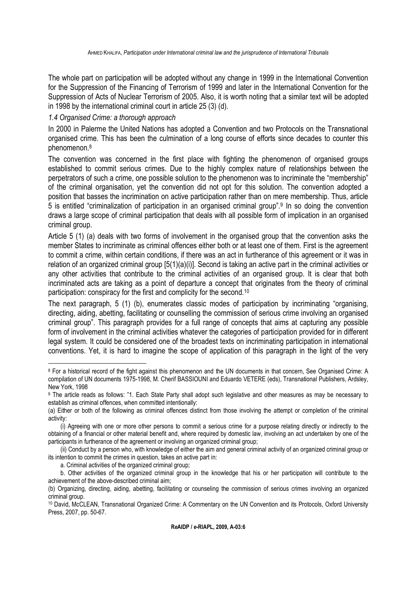The whole part on participation will be adopted without any change in 1999 in the International Convention for the Suppression of the Financing of Terrorism of 1999 and later in the International Convention for the Suppression of Acts of Nuclear Terrorism of 2005. Also, it is worth noting that a similar text will be adopted in 1998 by the international criminal court in article 25 (3) (d).

#### *1.4 Organised Crime: a thorough approach*

In 2000 in Palerme the United Nations has adopted a Convention and two Protocols on the Transnational organised crime. This has been the culmination of a long course of efforts since decades to counter this phenomenon.<sup>8</sup>

The convention was concerned in the first place with fighting the phenomenon of organised groups established to commit serious crimes. Due to the highly complex nature of relationships between the perpetrators of such a crime, one possible solution to the phenomenon was to incriminate the "membership" of the criminal organisation, yet the convention did not opt for this solution. The convention adopted a position that basses the incrimination on active participation rather than on mere membership. Thus, article 5 is entitled "criminalization of participation in an organised criminal group".<sup>9</sup> In so doing the convention draws a large scope of criminal participation that deals with all possible form of implication in an organised criminal group.

Article 5 (1) (a) deals with two forms of involvement in the organised group that the convention asks the member States to incriminate as criminal offences either both or at least one of them. First is the agreement to commit a crime, within certain conditions, if there was an act in furtherance of this agreement or it was in relation of an organized criminal group [5(1)(a)(i)]. Second is taking an active part in the criminal activities or any other activities that contribute to the criminal activities of an organised group. It is clear that both incriminated acts are taking as a point of departure a concept that originates from the theory of criminal participation: conspiracy for the first and complicity for the second.<sup>10</sup>

The next paragraph, 5 (1) (b), enumerates classic modes of participation by incriminating "organising, directing, aiding, abetting, facilitating or counselling the commission of serious crime involving an organised criminal group". This paragraph provides for a full range of concepts that aims at capturing any possible form of involvement in the criminal activities whatever the categories of participation provided for in different legal system. It could be considered one of the broadest texts on incriminating participation in international conventions. Yet, it is hard to imagine the scope of application of this paragraph in the light of the very

<sup>8</sup> For a historical record of the fight against this phenomenon and the UN documents in that concern, See Organised Crime: A compilation of UN documents 1975-1998, M. Cherif BASSIOUNI and Eduardo VETERE (eds), Transnational Publishers, Ardsley, New York, 1998

<sup>&</sup>lt;sup>9</sup> The article reads as follows: "1. Each State Party shall adopt such legislative and other measures as may be necessary to establish as criminal offences, when committed intentionally:

<sup>(</sup>a) Either or both of the following as criminal offences distinct from those involving the attempt or completion of the criminal activity:

<sup>(</sup>i) Agreeing with one or more other persons to commit a serious crime for a purpose relating directly or indirectly to the obtaining of a financial or other material benefit and, where required by domestic law, involving an act undertaken by one of the participants in furtherance of the agreement or involving an organized criminal group;

<sup>(</sup>ii) Conduct by a person who, with knowledge of either the aim and general criminal activity of an organized criminal group or its intention to commit the crimes in question, takes an active part in:

a. Criminal activities of the organized criminal group;

b. Other activities of the organized criminal group in the knowledge that his or her participation will contribute to the achievement of the above-described criminal aim;

<sup>(</sup>b) Organizing, directing, aiding, abetting, facilitating or counseling the commission of serious crimes involving an organized criminal group.

<sup>10</sup> David, McCLEAN, Transnational Organized Crime: A Commentary on the UN Convention and its Protocols, Oxford University Press, 2007, pp. 50-67.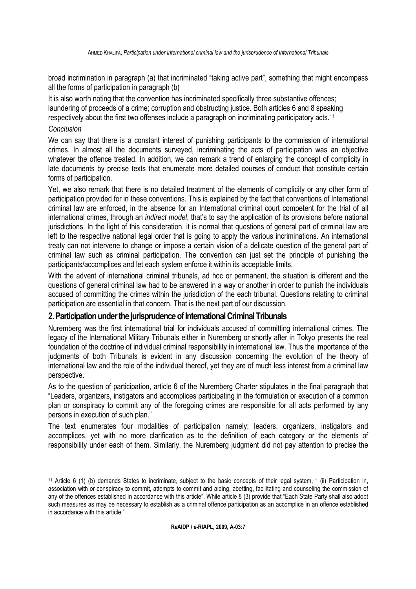broad incrimination in paragraph (a) that incriminated "taking active part", something that might encompass all the forms of participation in paragraph (b)

It is also worth noting that the convention has incriminated specifically three substantive offences; laundering of proceeds of a crime; corruption and obstructing justice. Both articles 6 and 8 speaking respectively about the first two offenses include a paragraph on incriminating participatory acts.<sup>11</sup>

# *Conclusion*

We can say that there is a constant interest of punishing participants to the commission of international crimes. In almost all the documents surveyed, incriminating the acts of participation was an objective whatever the offence treated. In addition, we can remark a trend of enlarging the concept of complicity in late documents by precise texts that enumerate more detailed courses of conduct that constitute certain forms of participation.

Yet, we also remark that there is no detailed treatment of the elements of complicity or any other form of participation provided for in these conventions. This is explained by the fact that conventions of International criminal law are enforced, in the absence for an International criminal court competent for the trial of all international crimes, through an *indirect model*, that's to say the application of its provisions before national jurisdictions. In the light of this consideration, it is normal that questions of general part of criminal law are left to the respective national legal order that is going to apply the various incriminations. An international treaty can not intervene to change or impose a certain vision of a delicate question of the general part of criminal law such as criminal participation. The convention can just set the principle of punishing the participants/accomplices and let each system enforce it within its acceptable limits.

With the advent of international criminal tribunals, ad hoc or permanent, the situation is different and the questions of general criminal law had to be answered in a way or another in order to punish the individuals accused of committing the crimes within the jurisdiction of the each tribunal. Questions relating to criminal participation are essential in that concern. That is the next part of our discussion.

# **2. Participation under the jurisprudence of International Criminal Tribunals**

Nuremberg was the first international trial for individuals accused of committing international crimes. The legacy of the International Military Tribunals either in Nuremberg or shortly after in Tokyo presents the real foundation of the doctrine of individual criminal responsibility in international law. Thus the importance of the judgments of both Tribunals is evident in any discussion concerning the evolution of the theory of international law and the role of the individual thereof, yet they are of much less interest from a criminal law perspective.

As to the question of participation, article 6 of the Nuremberg Charter stipulates in the final paragraph that "Leaders, organizers, instigators and accomplices participating in the formulation or execution of a common plan or conspiracy to commit any of the foregoing crimes are responsible for all acts performed by any persons in execution of such plan."

The text enumerates four modalities of participation namely; leaders, organizers, instigators and accomplices, yet with no more clarification as to the definition of each category or the elements of responsibility under each of them. Similarly, the Nuremberg judgment did not pay attention to precise the

 <sup>11</sup> Article 6 (1) (b) demands States to incriminate, subject to the basic concepts of their legal system, " (ii) Participation in, association with or conspiracy to commit, attempts to commit and aiding, abetting, facilitating and counseling the commission of any of the offences established in accordance with this article". While article 8 (3) provide that "Each State Party shall also adopt such measures as may be necessary to establish as a criminal offence participation as an accomplice in an offence established in accordance with this article."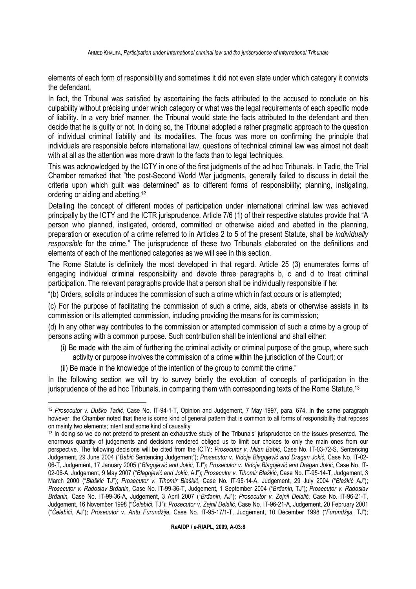elements of each form of responsibility and sometimes it did not even state under which category it convicts the defendant.

In fact, the Tribunal was satisfied by ascertaining the facts attributed to the accused to conclude on his culpability without précising under which category or what was the legal requirements of each specific mode of liability. In a very brief manner, the Tribunal would state the facts attributed to the defendant and then decide that he is guilty or not. In doing so, the Tribunal adopted a rather pragmatic approach to the question of individual criminal liability and its modalities. The focus was more on confirming the principle that individuals are responsible before international law, questions of technical criminal law was almost not dealt with at all as the attention was more drawn to the facts than to legal techniques.

This was acknowledged by the ICTY in one of the first judgments of the ad hoc Tribunals. In Tadic, the Trial Chamber remarked that "the post-Second World War judgments, generally failed to discuss in detail the criteria upon which guilt was determined" as to different forms of responsibility; planning, instigating, ordering or aiding and abetting.<sup>12</sup>

Detailing the concept of different modes of participation under international criminal law was achieved principally by the ICTY and the ICTR jurisprudence. Article 7/6 (1) of their respective statutes provide that "A person who planned, instigated, ordered, committed or otherwise aided and abetted in the planning, preparation or execution of a crime referred to in Articles 2 to 5 of the present Statute, shall be *individually responsible* for the crime." The jurisprudence of these two Tribunals elaborated on the definitions and elements of each of the mentioned categories as we will see in this section.

The Rome Statute is definitely the most developed in that regard. Article 25 (3) enumerates forms of engaging individual criminal responsibility and devote three paragraphs b, c and d to treat criminal participation. The relevant paragraphs provide that a person shall be individually responsible if he:

"(b) Orders, solicits or induces the commission of such a crime which in fact occurs or is attempted;

(c) For the purpose of facilitating the commission of such a crime, aids, abets or otherwise assists in its commission or its attempted commission, including providing the means for its commission;

(d) In any other way contributes to the commission or attempted commission of such a crime by a group of persons acting with a common purpose. Such contribution shall be intentional and shall either:

- (i) Be made with the aim of furthering the criminal activity or criminal purpose of the group, where such activity or purpose involves the commission of a crime within the jurisdiction of the Court; or
- (ii) Be made in the knowledge of the intention of the group to commit the crime."

In the following section we will try to survey briefly the evolution of concepts of participation in the jurisprudence of the ad hoc Tribunals, in comparing them with corresponding texts of the Rome Statute.<sup>13</sup>

 $\overline{a}$ <sup>12</sup> *Prosecutor v. Duško Tadić*, Case No. IT-94-1-T, Opinion and Judgement, 7 May 1997, para. 674. In the same paragraph however, the Chamber noted that there is some kind of general pattern that is common to all forms of responsibility that reposes on mainly two elements; intent and some kind of causality

<sup>&</sup>lt;sup>13</sup> In doing so we do not pretend to present an exhaustive study of the Tribunals' jurisprudence on the issues presented. The enormous quantity of judgements and decisions rendered obliged us to limit our choices to only the main ones from our perspective. The following decisions will be cited from the ICTY: *Prosecutor v. Milan Babić,* Case No. IT-03-72-S, Sentencing Judgement, 29 June 2004 ("*Babić* Sentencing Judgement"); *Prosecutor v. Vidoje Blagojević and Dragan Jokić,* Case No. IT-02- 06-T, Judgement, 17 January 2005 ("*Blagojević and Jokić,* TJ"); *Prosecutor v. Vidoje Blagojević and Dragan Jokić,* Case No. IT-02-06-A, Judgement, 9 May 2007 ("*Blagojević and Jokić,* AJ"); *Prosecutor v. Tihomir Blaškić*, Case No. IT-95-14-T, Judgement, 3 March 2000 ("*Blaškić* TJ"); *Prosecutor v. Tihomir Blaškić*, Case No. IT-95-14-A, Judgement, 29 July 2004 ("*Blaškić* AJ"); *Prosecutor v. Radoslav Brñanin,* Case No. IT-99-36-T, Judgement, 1 September 2004 ("*Brñanin,* TJ"); *Prosecutor v. Radoslav Brñanin,* Case No. IT-99-36-A, Judgement, 3 April 2007 ("*Brñanin*, AJ"); *Prosecutor v. Zejnil Delalić,* Case No. IT-96-21-T, Judgement, 16 November 1998 ("*Čelebići*, TJ"); *Prosecutor v. Zejnil Delalić,* Case No. IT-96-21-A, Judgement, 20 February 2001 ("*Čelebići*, AJ"); *Prosecutor v. Anto Furundžija*, Case No. IT-95-17/1-T, Judgement, 10 December 1998 ("*Furundžija*, TJ");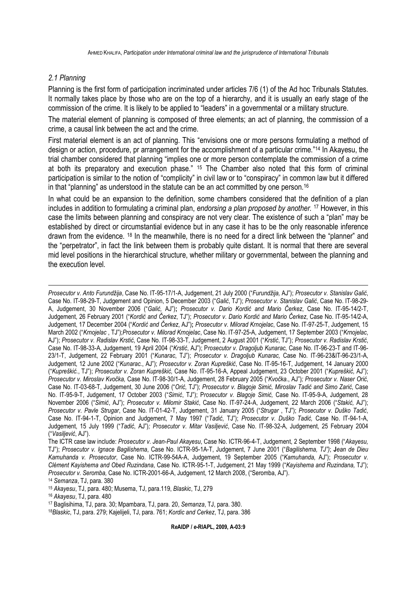#### *2.1 Planning*

 $\overline{a}$ 

Planning is the first form of participation incriminated under articles 7/6 (1) of the Ad hoc Tribunals Statutes. It normally takes place by those who are on the top of a hierarchy, and it is usually an early stage of the commission of the crime. It is likely to be applied to "leaders" in a governmental or a military structure.

The material element of planning is composed of three elements; an act of planning, the commission of a crime, a causal link between the act and the crime.

First material element is an act of planning. This "envisions one or more persons formulating a method of design or action, procedure, pr arrangement for the accomplishment of a particular crime."14 In Akayesu, the trial chamber considered that planning "implies one or more person contemplate the commission of a crime at both its preparatory and execution phase." 15 The Chamber also noted that this form of criminal participation is similar to the notion of "complicity" in civil law or to "conspiracy" in common law but it differed in that "planning" as understood in the statute can be an act committed by one person.<sup>16</sup>

In what could be an expansion to the definition, some chambers considered that the definition of a plan includes in addition to formulating a criminal plan, *endorsing a plan proposed by another.* <sup>17</sup> However, in this case the limits between planning and conspiracy are not very clear. The existence of such a "plan" may be established by direct or circumstantial evidence but in any case it has to be the only reasonable inference drawn from the evidence. 18 In the meanwhile, there is no need for a direct link between the "planner" and the "perpetrator", in fact the link between them is probably quite distant. It is normal that there are several mid level positions in the hierarchical structure, whether military or governmental, between the planning and the execution level.

*Prosecutor v. Anto Furundžija*, Case No. IT-95-17/1-A, Judgement, 21 July 2000 ("*Furundžija,* AJ"); *Prosecutor v. Stanislav Galić*, Case No. IT-98-29-T, Judgement and Opinion, 5 December 2003 ("*Galić*, TJ"); *Prosecutor v. Stanislav Galić*, Case No. IT-98-29- A, Judgement, 30 November 2006 ("*Galić,* AJ")**;** *Prosecutor v. Dario Kordić and Mario Čerkez*, Case No. IT-95-14/2-T, Judgement, 26 February 2001 ("*Kordić and Čerkez*, TJ"); *Prosecutor v. Dario Kordić and Mario Čerkez*, Case No. IT-95-14/2-A, Judgement, 17 December 2004 ("*Kordić and Čerkez*, AJ")**;** *Prosecutor v. Milorad Krnojelac*, Case No. IT-97-25-T, Judgement, 15 March 2002 ("*Krnojelac* , TJ");*Prosecutor v. Milorad Krnojelac*, Case No. IT-97-25-A, Judgement, 17 September 2003 ("*Krnojelac*, AJ"); *Prosecutor v. Radislav Krstić*, Case No. IT-98-33-T, Judgement, 2 August 2001 ("*Krstić*, TJ"); *Prosecutor v. Radislav Krstić*, Case No. IT-98-33-A, Judgement, 19 April 2004 ("*Krstić*, AJ"); P*rosecutor v. Dragoljub Kunarac,* Case No. IT-96-23-T and IT-96- 23/1-T, Judgement, 22 February 2001 ("*Kunarac*, TJ"); *Prosecutor v. Dragoljub Kunarac,* Case No. IT-96-23&IT-96-23/1-A, Judgement, 12 June 2002 ("*Kunarac.*, AJ"); *Prosecutor v. Zoran Kupreškić*, Case No. IT-95-16-T, Judgement, 14 January 2000 ("*Kupreškić.*, TJ"); *Prosecutor v. Zoran Kupreškić,* Case No. IT-95-16-A, Appeal Judgement, 23 October 2001 ("*Kupreškić,* AJ"); *Prosecutor v. Miroslav Kvočka,* Case No. IT-98-30/1-A, Judgement, 28 February 2005 ("*Kvočka.*, AJ")*; Prosecutor v. Naser Orić*, Case No. IT-03-68-T, Judgement, 30 June 2006 ("*Orić,* TJ"); *Prosecutor v. Blagoje Simić, Miroslav Tadić and Simo Zarić*, Case No. IT-95-9-T, Judgement, 17 October 2003 ("*Simić*, TJ"); P*rosecutor v. Blagoje Simić,* Case No. IT-95-9-A, Judgement, 28 November 2006 ("*Simić*, AJ"); *Prosecutor v. Milomir Stakić*, Case No. IT-97-24-A, Judgement, 22 March 2006 ("*Stakić,* AJ"); *Prosecutor v. Pavle Strugar*, Case No. IT-01-42-T, Judgement, 31 January 2005 ("*Strugar* , TJ"); *Prosecutor v. Duško Tadić*, Case No. IT-94-1-T, Opinion and Judgement, 7 May 1997 ("*Tadić*, TJ"); *Prosecutor v. Duško Tadić,* Case No. IT-94-1-A, Judgement, 15 July 1999 ("*Tadić*, AJ")*; Prosecutor v. Mitar Vasiljević*, Case No. IT-98-32-A, Judgement, 25 February 2004 ("*Vasiljević*, AJ").

The ICTR case law include: *Prosecutor v. Jean-Paul Akayesu*, Case No. ICTR-96-4-T, Judgement, 2 September 1998 ("*Akayesu,* TJ"); *Prosecutor v. Ignace Bagilishema*, Case No. ICTR-95-1A-T, Judgement, 7 June 2001 ("*Bagilishema, TJ")*; **J***ean de Dieu Kamuhanda v. Prosecutor*, Case No. ICTR-99-54A-A, Judgement, 19 September 2005 ("*Kamuhanda*, AJ"); *Prosecutor v. Clément Kayishema and Obed Ruzindana*, Case No. ICTR-95-1-T, Judgement, 21 May 1999 ("*Kayishema and Ruzindana,* TJ"); *Prosecutor v. Seromba,* Case No. ICTR-2001-66-A, Judgement, 12 March 2008, ("Seromba, AJ").

<sup>14</sup> *Semanza*, TJ, para. 380

<sup>15</sup> *Akayesu*, TJ, para. 480; Musema, TJ, para.119, *Blaskic*, TJ, 279

<sup>16</sup> *Akayesu*, TJ, para. 480

<sup>17</sup> Baglisihima, TJ, para. 30; Mpambara, TJ, para. 20, *Semanza*, TJ, para. 380.

18*Blaskic*, TJ, para. 279; Kajelijeli, TJ, para. 761; *Kordic and Cerkez*, TJ, para. 386

**R***e***AIDP /** *e-***RIAPL, 2009, A-03:9**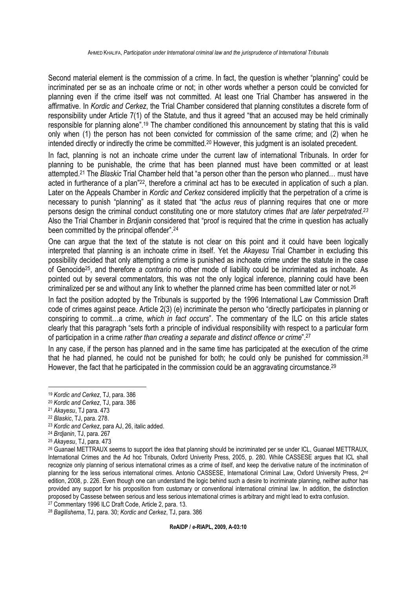Second material element is the commission of a crime. In fact, the question is whether "planning" could be incriminated per se as an inchoate crime or not; in other words whether a person could be convicted for planning even if the crime itself was not committed. At least one Trial Chamber has answered in the affirmative. In *Kordic and Cerkez*, the Trial Chamber considered that planning constitutes a discrete form of responsibility under Article 7(1) of the Statute, and thus it agreed "that an accused may be held criminally responsible for planning alone".<sup>19</sup> The chamber conditioned this announcement by stating that this is valid only when (1) the person has not been convicted for commission of the same crime; and (2) when he intended directly or indirectly the crime be committed.20 However, this judgment is an isolated precedent.

In fact, planning is not an inchoate crime under the current law of international Tribunals. In order for planning to be punishable, the crime that has been planned must have been committed or at least attempted.<sup>21</sup> The *Blaskic* Trial Chamber held that "a person other than the person who planned… must have acted in furtherance of a plan"22, therefore a criminal act has to be executed in application of such a plan. Later on the Appeals Chamber in *Kordic and Cerkez* considered implicitly that the perpetration of a crime is necessary to punish "planning" as it stated that "the *actus reus* of planning requires that one or more persons design the criminal conduct constituting one or more statutory crimes *that are later perpetrated.<sup>23</sup>* Also the Trial Chamber in *Brdjanin* considered that "proof is required that the crime in question has actually been committed by the principal offender".<sup>24</sup>

One can argue that the text of the statute is not clear on this point and it could have been logically interpreted that planning is an inchoate crime in itself. Yet the *Akayesu* Trial Chamber in excluding this possibility decided that only attempting a crime is punished as inchoate crime under the statute in the case of Genocide25, and therefore *a contrario* no other mode of liability could be incriminated as inchoate. As pointed out by several commentators, this was not the only logical inference, planning could have been criminalized per se and without any link to whether the planned crime has been committed later or not.<sup>26</sup>

In fact the position adopted by the Tribunals is supported by the 1996 International Law Commission Draft code of crimes against peace. Article 2(3) (e) incriminate the person who "directly participates in planning or conspiring to commit…a crime, *which in fact occurs*". The commentary of the ILC on this article states clearly that this paragraph "sets forth a principle of individual responsibility with respect to a particular form of participation in a crime *rather than creating a separate and distinct offence or crime*".<sup>27</sup>

In any case, if the person has planned and in the same time has participated at the execution of the crime that he had planned, he could not be punished for both; he could only be punished for commission.<sup>28</sup> However, the fact that he participated in the commission could be an aggravating circumstance.<sup>29</sup>

<sup>28</sup> *Bagilishema*, TJ, para. 30; *Kordic and Cerkez*, TJ, para. 386

<sup>19</sup> *Kordic and Cerkez*, TJ, para. 386

<sup>20</sup> *Kordic and Cerkez*, TJ, para. 386

<sup>21</sup> *Akayesu*, TJ para. 473

<sup>22</sup> *Blaskic*, TJ, para. 278.

<sup>23</sup> *Kordic and Cerkez*, para AJ, 26, italic added.

<sup>24</sup> *Brdjanin*, TJ, para. 267

<sup>25</sup> *Akayesu*, TJ, para. 473

<sup>26</sup> Guanael METTRAUX seems to support the idea that planning should be incriminated per se under ICL, Guanael METTRAUX, International Crimes and the Ad hoc Tribunals, Oxford Univerity Press, 2005, p. 280. While CASSESE argues that ICL shall recognize only planning of serious international crimes as a crime of itself, and keep the derivative nature of the incrimination of planning for the less serious international crimes. Antonio CASSESE, International Criminal Law, Oxford University Press, 2<sup>nd</sup> edition, 2008, p. 226. Even though one can understand the logic behind such a desire to incriminate planning, neither author has provided any support for his proposition from customary or conventional international criminal law. In addition, the distinction proposed by Cassese between serious and less serious international crimes is arbitrary and might lead to extra confusion. <sup>27</sup> Commentary 1996 ILC Draft Code, Article 2, para. 13.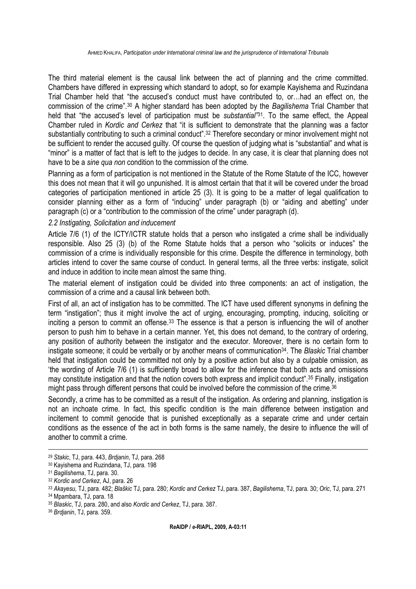The third material element is the causal link between the act of planning and the crime committed. Chambers have differed in expressing which standard to adopt, so for example Kayishema and Ruzindana Trial Chamber held that "the accused's conduct must have contributed to, or…had an effect on, the commission of the crime".<sup>30</sup> A higher standard has been adopted by the *Bagilishema* Trial Chamber that held that "the accused's level of participation must be *substantial"*<sup>31</sup>. To the same effect, the Appeal Chamber ruled in *Kordic and Cerkez* that "it is sufficient to demonstrate that the planning was a factor substantially contributing to such a criminal conduct".<sup>32</sup> Therefore secondary or minor involvement might not be sufficient to render the accused guilty. Of course the question of judging what is "substantial" and what is "minor" is a matter of fact that is left to the judges to decide. In any case, it is clear that planning does not have to be a *sine qua non* condition to the commission of the crime.

Planning as a form of participation is not mentioned in the Statute of the Rome Statute of the ICC, however this does not mean that it will go unpunished. It is almost certain that that it will be covered under the broad categories of participation mentioned in article 25 (3). It is going to be a matter of legal qualification to consider planning either as a form of "inducing" under paragraph (b) or "aiding and abetting" under paragraph (c) or a "contribution to the commission of the crime" under paragraph (d).

# *2.2 Instigating, Solicitation and inducement*

Article 7/6 (1) of the ICTY/ICTR statute holds that a person who instigated a crime shall be individually responsible. Also 25 (3) (b) of the Rome Statute holds that a person who "solicits or induces" the commission of a crime is individually responsible for this crime. Despite the difference in terminology, both articles intend to cover the same course of conduct. In general terms, all the three verbs: instigate, solicit and induce in addition to incite mean almost the same thing.

The material element of instigation could be divided into three components: an act of instigation, the commission of a crime and a causal link between both.

First of all, an act of instigation has to be committed. The ICT have used different synonyms in defining the term "instigation"; thus it might involve the act of urging, encouraging, prompting, inducing, soliciting or inciting a person to commit an offense.<sup>33</sup> The essence is that a person is influencing the will of another person to push him to behave in a certain manner. Yet, this does not demand, to the contrary of ordering, any position of authority between the instigator and the executor. Moreover, there is no certain form to instigate someone; it could be verbally or by another means of communication<sup>34</sup>. The *Blaskic* Trial chamber held that instigation could be committed not only by a positive action but also by a culpable omission, as 'the wording of Article 7/6 (1) is sufficiently broad to allow for the inference that both acts and omissions may constitute instigation and that the notion covers both express and implicit conduct".<sup>35</sup> Finally, instigation might pass through different persons that could be involved before the commission of the crime.<sup>36</sup>

Secondly, a crime has to be committed as a result of the instigation. As ordering and planning, instigation is not an inchoate crime. In fact, this specific condition is the main difference between instigation and incitement to commit genocide that is punished exceptionally as a separate crime and under certain conditions as the essence of the act in both forms is the same namely, the desire to influence the will of another to commit a crime.

<sup>29</sup> *Stakic*, TJ, para. 443, *Brdjanin*, TJ, para. 268

<sup>30</sup> Kayishema and Ruzindana, TJ, para. 198

<sup>31</sup> *Bagilishema*, TJ, para. 30.

<sup>32</sup> *Kordic and Cerkez*, AJ, para. 26

<sup>33</sup> *Akayesu,* TJ, para. 482; *Blaškic* TJ, para. 280; *Kordic and Cerkez* TJ, para. 387, *Bagilishema*, TJ, para. 30; *Oric*, TJ, para. 271

<sup>34</sup> Mpambara, TJ, para. 18

<sup>35</sup> *Blaskic*, TJ, para. 280, and also *Kordic and Cerkez*, TJ, para. 387.

<sup>36</sup> *Brdjanin*, TJ, para. 359.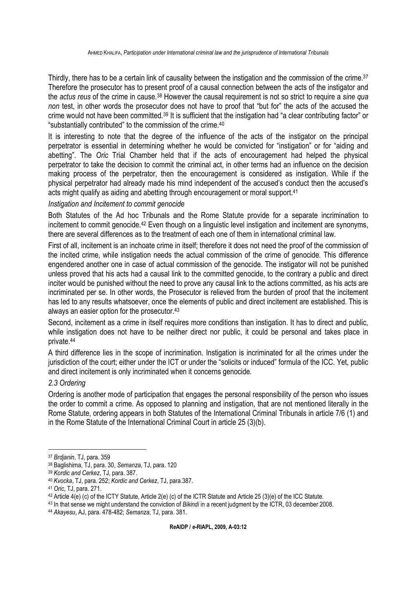Thirdly, there has to be a certain link of causality between the instigation and the commission of the crime.<sup>37</sup> Therefore the prosecutor has to present proof of a causal connection between the acts of the instigator and the *actus reus* of the crime in cause.<sup>38</sup> However the causal requirement is not so strict to require a *sine qua non* test, in other words the prosecutor does not have to proof that "but for" the acts of the accused the crime would not have been committed.<sup>39</sup> It is sufficient that the instigation had "a clear contributing factor" or "substantially contributed" to the commission of the crime.<sup>40</sup>

It is interesting to note that the degree of the influence of the acts of the instigator on the principal perpetrator is essential in determining whether he would be convicted for "instigation" or for "aiding and abetting". The *Oric* Trial Chamber held that if the acts of encouragement had helped the physical perpetrator to take the decision to commit the criminal act, in other terms had an influence on the decision making process of the perpetrator, then the encouragement is considered as instigation. While if the physical perpetrator had already made his mind independent of the accused's conduct then the accused's acts might qualify as aiding and abetting through encouragement or moral support.<sup>41</sup>

#### *Instigation and Incitement to commit genocide*

Both Statutes of the Ad hoc Tribunals and the Rome Statute provide for a separate incrimination to incitement to commit genocide.<sup>42</sup> Even though on a linguistic level instigation and incitement are synonyms, there are several differences as to the treatment of each one of them in international criminal law.

First of all, incitement is an inchoate crime in itself; therefore it does not need the proof of the commission of the incited crime, while instigation needs the actual commission of the crime of genocide. This difference engendered another one in case of actual commission of the genocide. The instigator will not be punished unless proved that his acts had a causal link to the committed genocide, to the contrary a public and direct inciter would be punished without the need to prove any causal link to the actions committed, as his acts are incriminated per se. In other words, the Prosecutor is relieved from the burden of proof that the incitement has led to any results whatsoever, once the elements of public and direct incitement are established. This is always an easier option for the prosecutor.<sup>43</sup>

Second, incitement as a crime in itself requires more conditions than instigation. It has to direct and public, while instigation does not have to be neither direct nor public, it could be personal and takes place in private.<sup>44</sup>

A third difference lies in the scope of incrimination. Instigation is incriminated for all the crimes under the jurisdiction of the court; either under the ICT or under the "solicits or induced" formula of the ICC. Yet, public and direct incitement is only incriminated when it concerns genocide.

# *2.3 Ordering*

 $\overline{a}$ 

Ordering is another mode of participation that engages the personal responsibility of the person who issues the order to commit a crime. As opposed to planning and instigation, that are not mentioned literally in the Rome Statute, ordering appears in both Statutes of the International Criminal Tribunals in article 7/6 (1) and in the Rome Statute of the International Criminal Court in article 25 (3)(b).

<sup>37</sup> *Brdjanin*, TJ, para. 359

<sup>38</sup> Baglishima, TJ, para. 30, *Semanza*, TJ, para. 120

<sup>39</sup> *Kordic and Cerkez*, TJ, para. 387.

<sup>40</sup> *Kvocka*, TJ, para. 252; *Kordic and Cerkez*, TJ, para.387.

<sup>41</sup> *Oric*, TJ, para. 271.

<sup>42</sup> Article 4(e) (c) of the ICTY Statute, Article 2(e) (c) of the ICTR Statute and Article 25 (3)(e) of the ICC Statute.

<sup>43</sup> In that sense we might understand the conviction of *Bikindi* in a recent judgment by the ICTR, 03 december 2008.

<sup>44</sup> *Akayesu*, AJ, para. 478-482; *Semanza*, TJ, para. 381.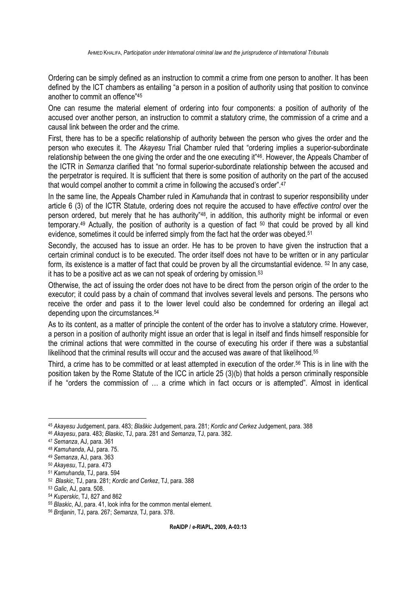Ordering can be simply defined as an instruction to commit a crime from one person to another. It has been defined by the ICT chambers as entailing "a person in a position of authority using that position to convince another to commit an offence"<sup>45</sup>

One can resume the material element of ordering into four components: a position of authority of the accused over another person, an instruction to commit a statutory crime, the commission of a crime and a causal link between the order and the crime.

First, there has to be a specific relationship of authority between the person who gives the order and the person who executes it. The *Akayesu* Trial Chamber ruled that "ordering implies a superior-subordinate relationship between the one giving the order and the one executing it"46. However, the Appeals Chamber of the ICTR in *Semanza* clarified that "no formal superior-subordinate relationship between the accused and the perpetrator is required. It is sufficient that there is some position of authority on the part of the accused that would compel another to commit a crime in following the accused's order".<sup>47</sup>

In the same line, the Appeals Chamber ruled in *Kamuhanda* that in contrast to superior responsibility under article 6 (3) of the ICTR Statute, ordering does not require the accused to have *effective control* over the person ordered, but merely that he has authority<sup>"48</sup>, in addition, this authority might be informal or even temporary.<sup>49</sup> Actually, the position of authority is a question of fact  $50$  that could be proved by all kind evidence, sometimes it could be inferred simply from the fact hat the order was obeyed.<sup>51</sup>

Secondly, the accused has to issue an order. He has to be proven to have given the instruction that a certain criminal conduct is to be executed. The order itself does not have to be written or in any particular form, its existence is a matter of fact that could be proven by all the circumstantial evidence. 52 In any case, it has to be a positive act as we can not speak of ordering by omission.<sup>53</sup>

Otherwise, the act of issuing the order does not have to be direct from the person origin of the order to the executor; it could pass by a chain of command that involves several levels and persons. The persons who receive the order and pass it to the lower level could also be condemned for ordering an illegal act depending upon the circumstances.<sup>54</sup>

As to its content, as a matter of principle the content of the order has to involve a statutory crime. However, a person in a position of authority might issue an order that is legal in itself and finds himself responsible for the criminal actions that were committed in the course of executing his order if there was a substantial likelihood that the criminal results will occur and the accused was aware of that likelihood.<sup>55</sup>

Third, a crime has to be committed or at least attempted in execution of the order.56 This is in line with the position taken by the Rome Statute of the ICC in article 25 (3)(b) that holds a person criminally responsible if he "orders the commission of … a crime which in fact occurs or is attempted". Almost in identical

<sup>45</sup> *Akayesu* Judgement, para. 483; *Blaškic* Judgement, para. 281; *Kordic and Cerkez* Judgement, para. 388

<sup>46</sup> *Akayesu*, para. 483; *Blaskic*, TJ, para. 281 and *Semanza*, TJ, para. 382.

<sup>47</sup> *Semanza*, AJ, para. 361

<sup>48</sup> *Kamuhanda*, AJ, para. 75.

<sup>49</sup> *Semanza*, AJ, para. 363

<sup>50</sup> *Akayesu*, TJ, para. 473

<sup>51</sup> *Kamuhanda*, TJ, para. 594

<sup>52</sup> *Blaskic*, TJ, para. 281; *Kordic and Cerkez*, TJ, para. 388

<sup>53</sup> *Galic*, AJ, para. 508.

<sup>54</sup> *Kuperskic*, TJ, 827 and 862

<sup>55</sup> *Blaskic*, AJ, para. 41, look infra for the common mental element.

<sup>56</sup> *Brdjanin*, TJ, para. 267; *Semanza*, TJ, para. 378.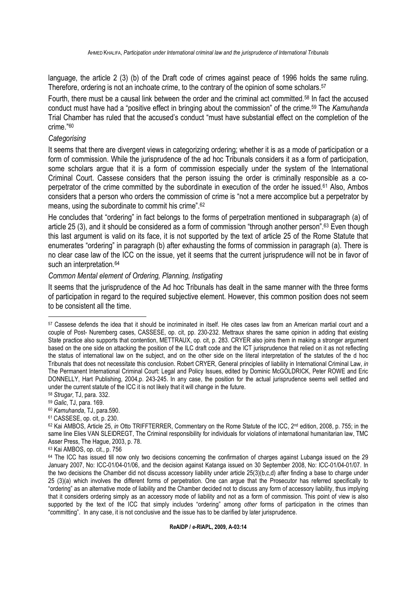language, the article 2 (3) (b) of the Draft code of crimes against peace of 1996 holds the same ruling. Therefore, ordering is not an inchoate crime, to the contrary of the opinion of some scholars.<sup>57</sup>

Fourth, there must be a causal link between the order and the criminal act committed.58 In fact the accused conduct must have had a "positive effect in bringing about the commission" of the crime.59 The *Kamuhanda* Trial Chamber has ruled that the accused's conduct "must have substantial effect on the completion of the crime."<sup>60</sup>

#### *Categorising*

It seems that there are divergent views in categorizing ordering; whether it is as a mode of participation or a form of commission. While the jurisprudence of the ad hoc Tribunals considers it as a form of participation, some scholars argue that it is a form of commission especially under the system of the International Criminal Court. Cassese considers that the person issuing the order is criminally responsible as a coperpetrator of the crime committed by the subordinate in execution of the order he issued.<sup>61</sup> Also, Ambos considers that a person who orders the commission of crime is "not a mere accomplice but a perpetrator by means, using the subordinate to commit his crime".<sup>62</sup>

He concludes that "ordering" in fact belongs to the forms of perpetration mentioned in subparagraph (a) of article 25 (3), and it should be considered as a form of commission "through another person".63 Even though this last argument is valid on its face, it is not supported by the text of article 25 of the Rome Statute that enumerates "ordering" in paragraph (b) after exhausting the forms of commission in paragraph (a). There is no clear case law of the ICC on the issue, yet it seems that the current jurisprudence will not be in favor of such an interpretation.<sup>64</sup>

#### *Common Mental element of Ordering, Planning, Instigating*

It seems that the jurisprudence of the Ad hoc Tribunals has dealt in the same manner with the three forms of participation in regard to the required subjective element. However, this common position does not seem to be consistent all the time.

<sup>59</sup> *Galic*, TJ, para. 169.

- <sup>60</sup> *Kamuhanda*, TJ, para.590.
- <sup>61</sup> CASSESE, op. cit, p. 230.

<sup>57</sup> Cassese defends the idea that it should be incriminated in itself. He cites cases law from an American martial court and a couple of Post- Nuremberg cases, CASSESE, op. cit, pp. 230-232. Mettraux shares the same opinion in adding that existing State practice also supports that contention, METTRAUX, op. cit, p. 283. CRYER also joins them in making a stronger argument based on the one side on attacking the position of the ILC draft code and the ICT jurisprudence that relied on it as not reflecting the status of international law on the subject, and on the other side on the literal interpretation of the statutes of the d hoc Tribunals that does not necessitate this conclusion. Robert CRYER, General principles of liability in International Criminal Law, *in* The Permanent International Criminal Court: Legal and Policy Issues, edited by Dominic McGOLDRICK, Peter ROWE and Eric DONNELLY, Hart Publishing, 2004,p. 243-245. In any case, the position for the actual jurisprudence seems well settled and under the current statute of the ICC it is not likely that it will change in the future.

<sup>58</sup> *Strugar*, TJ, para. 332.

<sup>62</sup> Kai AMBOS, Article 25, *in* Otto TRIFFTERRER, Commentary on the Rome Statute of the ICC, 2<sup>nd</sup> edition, 2008, p. 755; in the same line Elies VAN SLEIDREGT, The Criminal responsibility for individuals for violations of international humanitarian law, TMC Asser Press, The Hague, 2003, p. 78.

<sup>63</sup> Kai AMBOS, op. cit., p. 756

 $64$  The ICC has issued till now only two decisions concerning the confirmation of charges against Lubanga issued on the 29 January 2007, No: ICC-01/04-01/06, and the decision against Katanga issued on 30 September 2008, No: ICC-01/04-01/07. In the two decisions the Chamber did not discuss accessory liability under article 25(3)(b,c,d) after finding a base to charge under 25 (3)(a) which involves the different forms of perpetration. One can argue that the Prosecutor has referred specifically to "ordering" as an alternative mode of liability and the Chamber decided not to discuss any form of accessory liability, thus implying that it considers ordering simply as an accessory mode of liability and not as a form of commission. This point of view is also supported by the text of the ICC that simply includes "ordering" among *other* forms of participation in the crimes than "committing". In any case, it is not conclusive and the issue has to be clarified by later jurisprudence.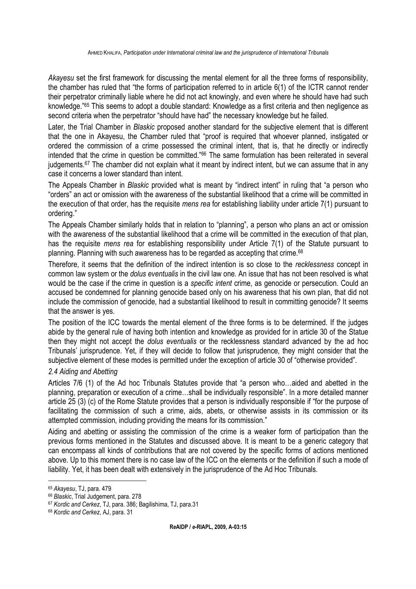*Akayesu* set the first framework for discussing the mental element for all the three forms of responsibility, the chamber has ruled that "the forms of participation referred to in article 6(1) of the ICTR cannot render their perpetrator criminally liable where he did not act knowingly, and even where he should have had such knowledge."<sup>65</sup> This seems to adopt a double standard: Knowledge as a first criteria and then negligence as second criteria when the perpetrator "should have had" the necessary knowledge but he failed.

Later, the Trial Chamber in *Blaskic* proposed another standard for the subjective element that is different that the one in Akayesu, the Chamber ruled that "proof is required that whoever planned, instigated or ordered the commission of a crime possessed the criminal intent, that is, that he directly or indirectly intended that the crime in question be committed."<sup>66</sup> The same formulation has been reiterated in several judgements.<sup>67</sup> The chamber did not explain what it meant by indirect intent, but we can assume that in any case it concerns a lower standard than intent.

The Appeals Chamber in *Blaskic* provided what is meant by "indirect intent" in ruling that "a person who "orders" an act or omission with the awareness of the substantial likelihood that a crime will be committed in the execution of that order, has the requisite *mens rea* for establishing liability under article 7(1) pursuant to ordering."

The Appeals Chamber similarly holds that in relation to "planning", a person who plans an act or omission with the awareness of the substantial likelihood that a crime will be committed in the execution of that plan, has the requisite *mens rea* for establishing responsibility under Article 7(1) of the Statute pursuant to planning. Planning with such awareness has to be regarded as accepting that crime.<sup>68</sup>

Therefore, it seems that the definition of the indirect intention is so close to the *recklessness* concept in common law system or the *dolus eventualis* in the civil law one. An issue that has not been resolved is what would be the case if the crime in question is a *specific intent* crime, as genocide or persecution. Could an accused be condemned for planning genocide based only on his awareness that his own plan, that did not include the commission of genocide, had a substantial likelihood to result in committing genocide? It seems that the answer is yes.

The position of the ICC towards the mental element of the three forms is to be determined. If the judges abide by the general rule of having both intention and knowledge as provided for in article 30 of the Statue then they might not accept the *dolus eventualis* or the recklessness standard advanced by the ad hoc Tribunals' jurisprudence. Yet, if they will decide to follow that jurisprudence, they might consider that the subjective element of these modes is permitted under the exception of article 30 of "otherwise provided".

# *2.4 Aiding and Abetting*

Articles 7/6 (1) of the Ad hoc Tribunals Statutes provide that "a person who…aided and abetted in the planning, preparation or execution of a crime…shall be individually responsible". In a more detailed manner article 25 (3) (c) of the Rome Statute provides that a person is individually responsible if "for the purpose of facilitating the commission of such a crime, aids, abets, or otherwise assists in its commission or its attempted commission, including providing the means for its commission."

Aiding and abetting or assisting the commission of the crime is a weaker form of participation than the previous forms mentioned in the Statutes and discussed above. It is meant to be a generic category that can encompass all kinds of contributions that are not covered by the specific forms of actions mentioned above. Up to this moment there is no case law of the ICC on the elements or the definition if such a mode of liability. Yet, it has been dealt with extensively in the jurisprudence of the Ad Hoc Tribunals.

<sup>65</sup> *Akayesu*, TJ, para. 479

<sup>66</sup> *Blaskic*, Trial Judgement, para. 278

<sup>67</sup> *Kordic and Cerkez*, TJ, para. 386; Bagilishima, TJ, para.31

<sup>68</sup> *Kordic and Cerkez*, AJ, para. 31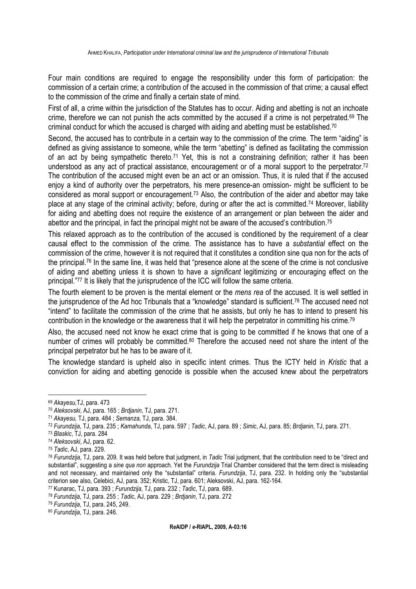Four main conditions are required to engage the responsibility under this form of participation: the commission of a certain crime; a contribution of the accused in the commission of that crime; a causal effect to the commission of the crime and finally a certain state of mind.

First of all, a crime within the jurisdiction of the Statutes has to occur. Aiding and abetting is not an inchoate crime, therefore we can not punish the acts committed by the accused if a crime is not perpetrated.69 The criminal conduct for which the accused is charged with aiding and abetting must be established.<sup>70</sup>

Second, the accused has to contribute in a certain way to the commission of the crime. The term "aiding" is defined as giving assistance to someone, while the term "abetting" is defined as facilitating the commission of an act by being sympathetic thereto.<sup>71</sup> Yet, this is not a constraining definition; rather it has been understood as any act of practical assistance, encouragement or of a moral support to the perpetrator.<sup>72</sup> The contribution of the accused might even be an act or an omission. Thus, it is ruled that if the accused enjoy a kind of authority over the perpetrators, his mere presence-an omission- might be sufficient to be considered as moral support or encouragement.<sup>73</sup> Also, the contribution of the aider and abettor may take place at any stage of the criminal activity; before, during or after the act is committed.<sup>74</sup> Moreover, liability for aiding and abetting does not require the existence of an arrangement or plan between the aider and abettor and the principal, in fact the principal might not be aware of the accused's contribution.<sup>75</sup>

This relaxed approach as to the contribution of the accused is conditioned by the requirement of a clear causal effect to the commission of the crime. The assistance has to have a *substantial* effect on the commission of the crime, however it is not required that it constitutes a condition sine qua non for the acts of the principal.<sup>76</sup> In the same line, it was held that "presence alone at the scene of the crime is not conclusive of aiding and abetting unless it is shown to have a *significant* legitimizing or encouraging effect on the principal."<sup>77</sup> It is likely that the jurisprudence of the ICC will follow the same criteria.

The fourth element to be proven is the mental element or the *mens rea* of the accused. It is well settled in the jurisprudence of the Ad hoc Tribunals that a "knowledge" standard is sufficient.<sup>78</sup> The accused need not "intend" to facilitate the commission of the crime that he assists, but only he has to intend to present his contribution in the knowledge or the awareness that it will help the perpetrator in committing his crime.<sup>79</sup>

Also, the accused need not know he exact crime that is going to be committed if he knows that one of a number of crimes will probably be committed.<sup>80</sup> Therefore the accused need not share the intent of the principal perpetrator but he has to be aware of it.

The knowledge standard is upheld also in specific intent crimes. Thus the ICTY held in *Kristic* that a conviction for aiding and abetting genocide is possible when the accused knew about the perpetrators

<sup>69</sup> *Akayesu,*TJ, para. 473

<sup>70</sup> *Aleksovski*, AJ, para. 165 ; *Brdjanin*, TJ, para. 271.

<sup>71</sup> *Akayesu,* TJ, para. 484 ; *Semanza,* TJ, para. 384.

<sup>72</sup> *Furundzija*, TJ, para. 235 ; *Kamahunda*, TJ, para. 597 ; *Tadic*, AJ, para. 89 ; *Simic*, AJ, para. 85; *Brdjanin*, TJ, para. 271.

<sup>73</sup> *Blaskic*, TJ, para. 284

<sup>74</sup> *Aleksovski*, AJ, para. 62.

<sup>75</sup> *Tadic*, AJ, para. 229.

<sup>76</sup> *Furundzija*, TJ, para. 209. It was held before that judgment, in *Tadic* Trial judgment, that the contribution need to be "direct and substantial", suggesting a *sine qua non* approach. Yet the *Furundzija* Trial Chamber considered that the term direct is misleading and not necessary, and maintained only the "substantial" criteria. *Furundzija*, TJ, para. 232. In holding only the "substantial criterion see also, Celebici, AJ, para. 352; Kristic, TJ, para. 601; Aleksovski, AJ, para. 162-164.

<sup>77</sup> Kunarac, TJ, para. 393 ; *Furundzija*, TJ, para. 232 ; *Tadic*, TJ, para. 689.

<sup>78</sup> *Furundzija*, TJ, para. 255 ; *Tadic*, AJ, para. 229 ; *Brdjanin*, TJ, para. 272

<sup>79</sup> *Furundzija*, TJ, para. 245, 249.

<sup>80</sup> *Furundzija*, TJ, para. 246.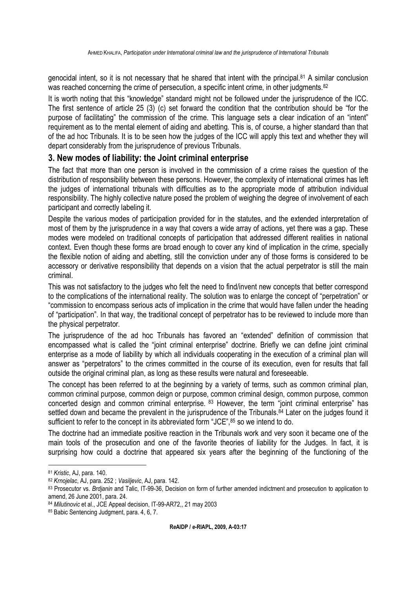genocidal intent, so it is not necessary that he shared that intent with the principal.<sup>81</sup> A similar conclusion was reached concerning the crime of persecution, a specific intent crime, in other judgments.<sup>82</sup>

It is worth noting that this "knowledge" standard might not be followed under the jurisprudence of the ICC. The first sentence of article 25 (3) (c) set forward the condition that the contribution should be "for the purpose of facilitating" the commission of the crime. This language sets a clear indication of an "intent" requirement as to the mental element of aiding and abetting. This is, of course, a higher standard than that of the ad hoc Tribunals. It is to be seen how the judges of the ICC will apply this text and whether they will depart considerably from the jurisprudence of previous Tribunals.

# **3. New modes of liability: the Joint criminal enterprise**

The fact that more than one person is involved in the commission of a crime raises the question of the distribution of responsibility between these persons. However, the complexity of international crimes has left the judges of international tribunals with difficulties as to the appropriate mode of attribution individual responsibility. The highly collective nature posed the problem of weighing the degree of involvement of each participant and correctly labeling it.

Despite the various modes of participation provided for in the statutes, and the extended interpretation of most of them by the jurisprudence in a way that covers a wide array of actions, yet there was a gap. These modes were modeled on traditional concepts of participation that addressed different realities in national context. Even though these forms are broad enough to cover any kind of implication in the crime, specially the flexible notion of aiding and abetting, still the conviction under any of those forms is considered to be accessory or derivative responsibility that depends on a vision that the actual perpetrator is still the main criminal.

This was not satisfactory to the judges who felt the need to find/invent new concepts that better correspond to the complications of the international reality. The solution was to enlarge the concept of "perpetration" or "commission to encompass serious acts of implication in the crime that would have fallen under the heading of "participation". In that way, the traditional concept of perpetrator has to be reviewed to include more than the physical perpetrator.

The jurisprudence of the ad hoc Tribunals has favored an "extended" definition of commission that encompassed what is called the "joint criminal enterprise" doctrine. Briefly we can define joint criminal enterprise as a mode of liability by which all individuals cooperating in the execution of a criminal plan will answer as "perpetrators" to the crimes committed in the course of its execution, even for results that fall outside the original criminal plan, as long as these results were natural and foreseeable.

The concept has been referred to at the beginning by a variety of terms, such as common criminal plan, common criminal purpose, common deign or purpose, common criminal design, common purpose, common concerted design and common criminal enterprise. <sup>83</sup> However, the term "joint criminal enterprise" has settled down and became the prevalent in the jurisprudence of the Tribunals.<sup>84</sup> Later on the judges found it sufficient to refer to the concept in its abbreviated form "JCE",<sup>85</sup> so we intend to do.

The doctrine had an immediate positive reaction in the Tribunals work and very soon it became one of the main tools of the prosecution and one of the favorite theories of liability for the Judges. In fact, it is surprising how could a doctrine that appeared six years after the beginning of the functioning of the

<sup>81</sup> *Kristic*, AJ, para. 140.

<sup>82</sup> *Krnojelac*, AJ, para. 252 ; *Vasiljevic*, AJ, para. 142.

<sup>83</sup> Prosecutor vs. *Brdjanin* and Talic, IT-99-36, Decision on form of further amended indictment and prosecution to application to amend, 26 June 2001, para. 24.

<sup>84</sup> *Milutinovic* et al., JCE Appeal decision, IT-99-AR72,, 21 may 2003

<sup>85</sup> Babic Sentencing Judgment, para. 4, 6, 7.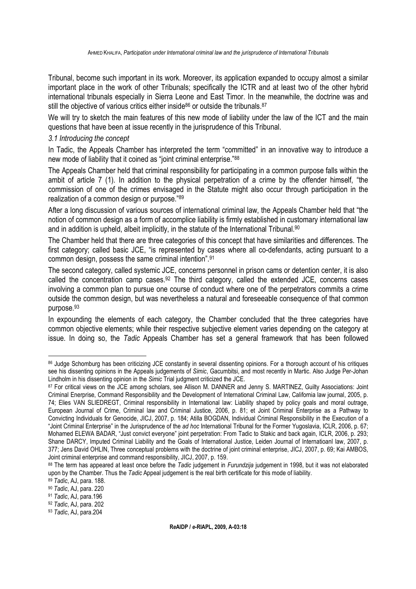Tribunal, become such important in its work. Moreover, its application expanded to occupy almost a similar important place in the work of other Tribunals; specifically the ICTR and at least two of the other hybrid international tribunals especially in Sierra Leone and East Timor. In the meanwhile, the doctrine was and still the objective of various critics either inside <sup>86</sup> or outside the tribunals.<sup>87</sup>

We will try to sketch the main features of this new mode of liability under the law of the ICT and the main questions that have been at issue recently in the jurisprudence of this Tribunal.

#### *3.1 Introducing the concept*

In Tadic, the Appeals Chamber has interpreted the term "committed" in an innovative way to introduce a new mode of liability that it coined as "joint criminal enterprise."<sup>88</sup>

The Appeals Chamber held that criminal responsibility for participating in a common purpose falls within the ambit of article 7 (1). In addition to the physical perpetration of a crime by the offender himself, "the commission of one of the crimes envisaged in the Statute might also occur through participation in the realization of a common design or purpose."<sup>89</sup>

After a long discussion of various sources of international criminal law, the Appeals Chamber held that "the notion of common design as a form of accomplice liability is firmly established in customary international law and in addition is upheld, albeit implicitly, in the statute of the International Tribunal.<sup>90</sup>

The Chamber held that there are three categories of this concept that have similarities and differences. The first category; called basic JCE, "is represented by cases where all co-defendants, acting pursuant to a common design, possess the same criminal intention". 91

The second category, called systemic JCE, concerns personnel in prison cams or detention center, it is also called the concentration camp cases.<sup>92</sup> The third category, called the extended JCE, concerns cases involving a common plan to pursue one course of conduct where one of the perpetrators commits a crime outside the common design, but was nevertheless a natural and foreseeable consequence of that common purpose.<sup>93</sup>

In expounding the elements of each category, the Chamber concluded that the three categories have common objective elements; while their respective subjective element varies depending on the category at issue. In doing so, the *Tadic* Appeals Chamber has set a general framework that has been followed

<sup>86</sup> Judge Schomburg has been criticizing JCE constantly in several dissenting opinions. For a thorough account of his critiques see his dissenting opinions in the Appeals judgements of *Simic*, Gacumbitsi, and most recently in Martic. Also Judge Per-Johan Lindholm in his dissenting opinion in the *Simic* Trial judgment criticized the JCE.

<sup>87</sup> For critical views on the JCE among scholars, see Allison M. DANNER and Jenny S. MARTINEZ. Guilty Associations: Joint Criminal Enerprise, Command Responsibility and the Development of International Criminal Law, California law journal, 2005, p. 74; Elies VAN SLIEDREGT, Criminal responsibility in International law: Liability shaped by policy goals and moral outrage, European Journal of Crime, Criminal law and Criminal Justice, 2006, p. 81; et Joint Criminal Enterprise as a Pathway to Convicting Individuals for Genocide, JICJ, 2007, p. 184; Atilla BOGDAN, Individual Criminal Responsibility in the Execution of a "Joint Criminal Enterprise" in the Jurisprudence of the *ad hoc* International Tribunal for the Former Yugoslavia, ICLR, 2006, p. 67; Mohamed ELEWA BADAR, "Just convict everyone" joint perpetration: From Tadic to Stakic and back again, ICLR, 2006, p. 293; Shane DARCY, Imputed Criminal Liability and the Goals of International Justice, Leiden Journal of Internatioanl law, 2007, p. 377; Jens David OHLIN, Three conceptual problems with the doctrine of joint criminal enterprise, JICJ, 2007, p. 69; Kai AMBOS, Joint criminal enterprise and command responsibility, JICJ, 2007, p. 159.

<sup>88</sup> The term has appeared at least once before the *Tadic* judgement in *Furundzija* judgement in 1998, but it was not elaborated upon by the Chamber. Thus the *Tadic* Appeal judgement is the real birth certificate for this mode of liability.

<sup>89</sup> *Tadic*, AJ, para. 188.

<sup>90</sup> *Tadic*, AJ, para. 220

<sup>91</sup> *Tadic*, AJ, para.196

<sup>92</sup> *Tadic*, AJ, para. 202

<sup>93</sup> *Tadic*, AJ, para.204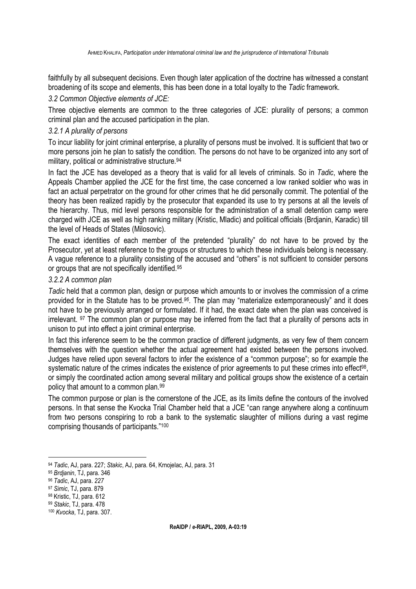faithfully by all subsequent decisions. Even though later application of the doctrine has witnessed a constant broadening of its scope and elements, this has been done in a total loyalty to the *Tadic* framework.

# *3.2 Common Objective elements of JCE:*

Three obiective elements are common to the three categories of JCE: plurality of persons; a common criminal plan and the accused participation in the plan.

# *3.2.1 A plurality of persons*

To incur liability for joint criminal enterprise, a plurality of persons must be involved. It is sufficient that two or more persons join he plan to satisfy the condition. The persons do not have to be organized into any sort of military, political or administrative structure.<sup>94</sup>

In fact the JCE has developed as a theory that is valid for all levels of criminals. So in *Tadic*, where the Appeals Chamber applied the JCE for the first time, the case concerned a low ranked soldier who was in fact an actual perpetrator on the ground for other crimes that he did personally commit. The potential of the theory has been realized rapidly by the prosecutor that expanded its use to try persons at all the levels of the hierarchy. Thus, mid level persons responsible for the administration of a small detention camp were charged with JCE as well as high ranking military (Kristic, Mladic) and political officials (Brdjanin, Karadic) till the level of Heads of States (Milosovic).

The exact identities of each member of the pretended "plurality" do not have to be proved by the Prosecutor, yet at least reference to the groups or structures to which these individuals belong is necessary. A vague reference to a plurality consisting of the accused and "others" is not sufficient to consider persons or groups that are not specifically identified.<sup>95</sup>

#### *3.2.2 A common plan*

*Tadic* held that a common plan, design or purpose which amounts to or involves the commission of a crime provided for in the Statute has to be proved.*96*. The plan may "materialize extemporaneously" and it does not have to be previously arranged or formulated. If it had, the exact date when the plan was conceived is irrelevant. 97 The common plan or purpose may be inferred from the fact that a plurality of persons acts in unison to put into effect a joint criminal enterprise.

In fact this inference seem to be the common practice of different judgments, as very few of them concern themselves with the question whether the actual agreement had existed between the persons involved. Judges have relied upon several factors to infer the existence of a "common purpose"; so for example the systematic nature of the crimes indicates the existence of prior agreements to put these crimes into effect<sup>98</sup>, or simply the coordinated action among several military and political groups show the existence of a certain policy that amount to a common plan.<sup>99</sup>

The common purpose or plan is the cornerstone of the JCE, as its limits define the contours of the involved persons. In that sense the Kvocka Trial Chamber held that a JCE "can range anywhere along a continuum from two persons conspiring to rob a bank to the systematic slaughter of millions during a vast regime comprising thousands of participants."<sup>100</sup>

 $\overline{a}$ <sup>94</sup> *Tadic*, AJ, para. 227; *Stakic*, AJ, para. 64, Krnojelac, AJ, para. 31

<sup>95</sup> *Brdjanin*, TJ, para. 346

<sup>96</sup> *Tadic*, AJ, para. *227*

<sup>97</sup> *Simic*, TJ, para. 879

<sup>98</sup> Kristic, TJ, para. 612

<sup>99</sup> *Stakic*, TJ, para. 478

<sup>100</sup> *Kvocka*, TJ, para. 307.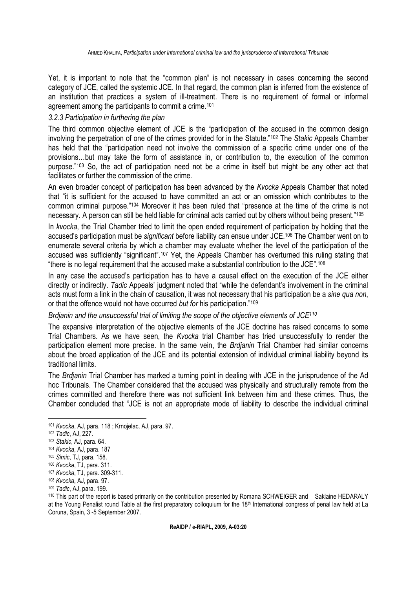Yet, it is important to note that the "common plan" is not necessary in cases concerning the second category of JCE, called the systemic JCE. In that regard, the common plan is inferred from the existence of an institution that practices a system of ill-treatment. There is no requirement of formal or informal agreement among the participants to commit a crime.<sup>101</sup>

# *3.2.3 Participation in furthering the plan*

The third common objective element of JCE is the "participation of the accused in the common design involving the perpetration of one of the crimes provided for in the Statute."102 The *Stakic* Appeals Chamber has held that the "participation need not involve the commission of a specific crime under one of the provisions…but may take the form of assistance in, or contribution to, the execution of the common purpose."103 So, the act of participation need not be a crime in itself but might be any other act that facilitates or further the commission of the crime.

An even broader concept of participation has been advanced by the *Kvocka* Appeals Chamber that noted that "it is sufficient for the accused to have committed an act or an omission which contributes to the common criminal purpose."104 Moreover it has been ruled that "presence at the time of the crime is not necessary. A person can still be held liable for criminal acts carried out by others without being present."<sup>105</sup>

In *kvocka*, the Trial Chamber tried to limit the open ended requirement of participation by holding that the accused's participation must be *significant* before liability can ensue under JCE.106 The Chamber went on to enumerate several criteria by which a chamber may evaluate whether the level of the participation of the accused was sufficiently "significant".107 Yet, the Appeals Chamber has overturned this ruling stating that "there is no legal requirement that the accused make a substantial contribution to the JCE".<sup>108</sup>

In any case the accused's participation has to have a causal effect on the execution of the JCE either directly or indirectly. *Tadic* Appeals' judgment noted that "while the defendant's involvement in the criminal acts must form a link in the chain of causation, it was not necessary that his participation be a *sine qua non*, or that the offence would not have occurred *but for* his participation."<sup>109</sup>

*Brdjanin and the unsuccessful trial of limiting the scope of the objective elements of JCE<sup>110</sup>*

The expansive interpretation of the objective elements of the JCE doctrine has raised concerns to some Trial Chambers. As we have seen, the *Kvocka* trial Chamber has tried unsuccessfully to render the participation element more precise. In the same vein, the *Brdjanin* Trial Chamber had similar concerns about the broad application of the JCE and its potential extension of individual criminal liability beyond its traditional limits.

The *Brdjanin* Trial Chamber has marked a turning point in dealing with JCE in the jurisprudence of the Ad hoc Tribunals. The Chamber considered that the accused was physically and structurally remote from the crimes committed and therefore there was not sufficient link between him and these crimes. Thus, the Chamber concluded that "JCE is not an appropriate mode of liability to describe the individual criminal

<sup>101</sup> *Kvocka*, AJ, para. 118 ; Krnojelac, AJ, para. 97.

<sup>102</sup> *Tadic*, AJ, 227.

<sup>103</sup> *Stakic*, AJ, para. 64.

<sup>104</sup> *Kvocka*, AJ, para. 187

<sup>105</sup> *Simic*, TJ, para. 158.

<sup>106</sup> *Kvocka*, TJ, para. 311.

<sup>107</sup> *Kvocka*, TJ, para. 309-311.

<sup>108</sup> *Kvocka*, AJ, para. 97.

<sup>109</sup> *Tadic*, AJ, para. 199.

<sup>110</sup> This part of the report is based primarily on the contribution presented by Romana SCHWEIGER and Saklaine HEDARALY at the Young Penalist round Table at the first preparatory colloquium for the 18<sup>th</sup> International congress of penal law held at La Coruna, Spain, 3 -5 September 2007.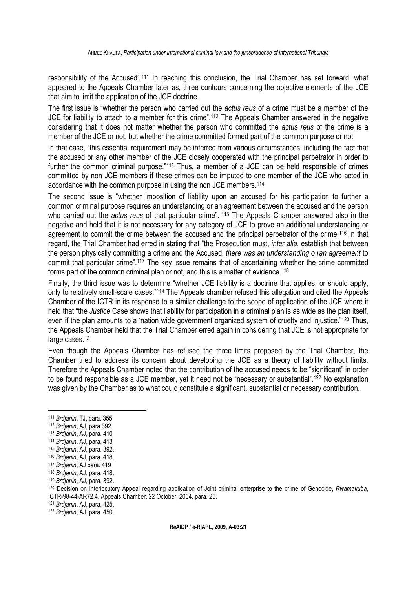responsibility of the Accused".<sup>111</sup> In reaching this conclusion, the Trial Chamber has set forward, what appeared to the Appeals Chamber later as, three contours concerning the objective elements of the JCE that aim to limit the application of the JCE doctrine.

The first issue is "whether the person who carried out the *actus reus* of a crime must be a member of the JCE for liability to attach to a member for this crime".<sup>112</sup> The Appeals Chamber answered in the negative considering that it does not matter whether the person who committed the *actus reus* of the crime is a member of the JCE or not, but whether the crime committed formed part of the common purpose or not.

In that case, "this essential requirement may be inferred from various circumstances, including the fact that the accused or any other member of the JCE closely cooperated with the principal perpetrator in order to further the common criminal purpose."<sup>113</sup> Thus, a member of a JCE can be held responsible of crimes committed by non JCE members if these crimes can be imputed to one member of the JCE who acted in accordance with the common purpose in using the non JCE members.<sup>114</sup>

The second issue is "whether imposition of liability upon an accused for his participation to further a common criminal purpose requires an understanding or an agreement between the accused and the person who carried out the *actus reus* of that particular crime". <sup>115</sup> The Appeals Chamber answered also in the negative and held that it is not necessary for any category of JCE to prove an additional understanding or agreement to commit the crime between the accused and the principal perpetrator of the crime.<sup>116</sup> In that regard, the Trial Chamber had erred in stating that "the Prosecution must, *inter alia*, establish that between the person physically committing a crime and the Accused, *there was an understanding o ran agreement* to commit that particular crime".<sup>117</sup> The key issue remains that of ascertaining whether the crime committed forms part of the common criminal plan or not, and this is a matter of evidence.<sup>118</sup>

Finally, the third issue was to determine "whether JCE liability is a doctrine that applies, or should apply, only to relatively small-scale cases."119 The Appeals chamber refused this allegation and cited the Appeals Chamber of the ICTR in its response to a similar challenge to the scope of application of the JCE where it held that "the *Justice* Case shows that liability for participation in a criminal plan is as wide as the plan itself, even if the plan amounts to a 'nation wide government organized system of cruelty and injustice."<sup>120</sup> Thus, the Appeals Chamber held that the Trial Chamber erred again in considering that JCE is not appropriate for large cases.<sup>121</sup>

Even though the Appeals Chamber has refused the three limits proposed by the Trial Chamber, the Chamber tried to address its concern about developing the JCE as a theory of liability without limits. Therefore the Appeals Chamber noted that the contribution of the accused needs to be "significant" in order to be found responsible as a JCE member, yet it need not be "necessary or substantial".<sup>122</sup> No explanation was given by the Chamber as to what could constitute a significant, substantial or necessary contribution.

 $\overline{a}$ 

<sup>121</sup> *Brdjanin*, AJ, para. 425.

<sup>122</sup> *Brdjanin*, AJ, para. 450.

<sup>111</sup> *Brdjanin*, TJ, para. 355

<sup>112</sup> *Brdjanin*, AJ, para.392

<sup>113</sup> *Brdjanin*, AJ, para. 410

<sup>114</sup> *Brdjanin*, AJ, para. 413

<sup>115</sup> *Brdjanin*, AJ, para. 392.

<sup>116</sup> *Brdjanin*, AJ, para. 418.

<sup>117</sup> *Brdjanin*, AJ para. 419

<sup>118</sup> *Brdjanin*, AJ, para. 418.

<sup>119</sup> *Brdjanin*, AJ, para. 392.

<sup>120</sup> Decision on Interlocutory Appeal regarding application of Joint criminal enterprise to the crime of Genocide, *Rwamakuba*, ICTR-98-44-AR72.4, Appeals Chamber, 22 October, 2004, para. 25.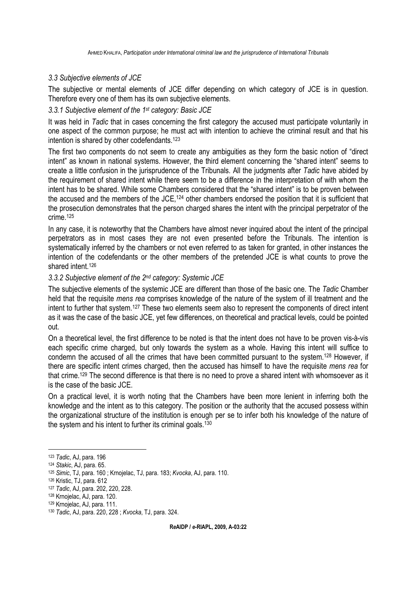# *3.3 Subjective elements of JCE*

The subjective or mental elements of JCE differ depending on which category of JCE is in question. Therefore every one of them has its own subjective elements.

# *3.3.1 Subjective element of the 1st category: Basic JCE*

It was held in *Tadic* that in cases concerning the first category the accused must participate voluntarily in one aspect of the common purpose; he must act with intention to achieve the criminal result and that his intention is shared by other codefendants.<sup>123</sup>

The first two components do not seem to create any ambiguities as they form the basic notion of "direct intent" as known in national systems. However, the third element concerning the "shared intent" seems to create a little confusion in the jurisprudence of the Tribunals. All the judgments after *Tadic* have abided by the requirement of shared intent while there seem to be a difference in the interpretation of with whom the intent has to be shared. While some Chambers considered that the "shared intent" is to be proven between the accused and the members of the JCE,<sup>124</sup> other chambers endorsed the position that it is sufficient that the prosecution demonstrates that the person charged shares the intent with the principal perpetrator of the crime.<sup>125</sup>

In any case, it is noteworthy that the Chambers have almost never inquired about the intent of the principal perpetrators as in most cases they are not even presented before the Tribunals. The intention is systematically inferred by the chambers or not even referred to as taken for granted, in other instances the intention of the codefendants or the other members of the pretended JCE is what counts to prove the shared intent.<sup>126</sup>

# *3.3.2 Subjective element of the 2nd category: Systemic JCE*

The subjective elements of the systemic JCE are different than those of the basic one. The *Tadic* Chamber held that the requisite *mens rea* comprises knowledge of the nature of the system of ill treatment and the intent to further that system.<sup>127</sup> These two elements seem also to represent the components of direct intent as it was the case of the basic JCE, yet few differences, on theoretical and practical levels, could be pointed out.

On a theoretical level, the first difference to be noted is that the intent does not have to be proven vis-à-vis each specific crime charged, but only towards the system as a whole. Having this intent will suffice to condemn the accused of all the crimes that have been committed pursuant to the system.<sup>128</sup> However, if there are specific intent crimes charged, then the accused has himself to have the requisite *mens rea* for that crime.<sup>129</sup> The second difference is that there is no need to prove a shared intent with whomsoever as it is the case of the basic JCE.

On a practical level, it is worth noting that the Chambers have been more lenient in inferring both the knowledge and the intent as to this category. The position or the authority that the accused possess within the organizational structure of the institution is enough per se to infer both his knowledge of the nature of the system and his intent to further its criminal goals.<sup>130</sup>

<sup>123</sup> *Tadic*, AJ, para. 196

<sup>124</sup> *Stakic*, AJ, para. 65.

<sup>125</sup> *Simic*, TJ, para. 160 ; Krnojelac, TJ, para. 183; *Kvocka*, AJ, para. 110.

<sup>126</sup> Kristic, TJ, para. 612

<sup>127</sup> *Tadic*, AJ, para. 202, 220, 228.

<sup>128</sup> Krnojelac, AJ, para. 120.

<sup>129</sup> Krnojelac, AJ, para. 111.

<sup>130</sup> *Tadic*, AJ, para. 220, 228 ; *Kvocka*, TJ, para. 324.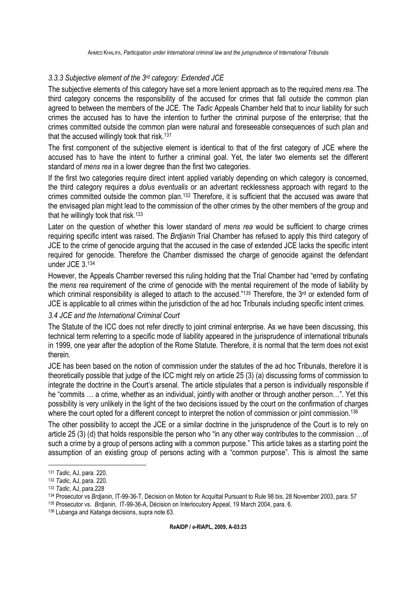# *3.3.3 Subjective element of the 3rd category: Extended JCE*

The subjective elements of this category have set a more lenient approach as to the required *mens rea*. The third category concerns the responsibility of the accused for crimes that fall *outside* the common plan agreed to between the members of the JCE. The *Tadic* Appeals Chamber held that to incur liability for such crimes the accused has to have the intention to further the criminal purpose of the enterprise; that the crimes committed outside the common plan were natural and foreseeable consequences of such plan and that the accused willingly took that risk.<sup>131</sup>

The first component of the subjective element is identical to that of the first category of JCE where the accused has to have the intent to further a criminal goal. Yet, the later two elements set the different standard of *mens rea* in a lower degree than the first two categories.

If the first two categories require direct intent applied variably depending on which category is concerned, the third category requires a *dolus eventualis* or an advertant recklessness approach with regard to the crimes committed outside the common plan.132 Therefore, it is sufficient that the accused was aware that the envisaged plan might lead to the commission of the other crimes by the other members of the group and that he willingly took that risk.<sup>133</sup>

Later on the question of whether this lower standard of *mens rea* would be sufficient to charge crimes requiring specific intent was raised. The *Brdjanin* Trial Chamber has refused to apply this third category of JCE to the crime of genocide arguing that the accused in the case of extended JCE lacks the specific intent required for genocide. Therefore the Chamber dismissed the charge of genocide against the defendant under JCE 3.<sup>134</sup>

However, the Appeals Chamber reversed this ruling holding that the Trial Chamber had "erred by conflating the *mens rea* requirement of the crime of genocide with the mental requirement of the mode of liability by which criminal responsibility is alleged to attach to the accused."135 Therefore, the 3<sup>rd</sup> or extended form of JCE is applicable to all crimes within the jurisdiction of the ad hoc Tribunals including specific intent crimes.

# *3.4 JCE and the International Criminal Court*

The Statute of the ICC does not refer directly to joint criminal enterprise. As we have been discussing, this technical term referring to a specific mode of liability appeared in the jurisprudence of international tribunals in 1999, one year after the adoption of the Rome Statute. Therefore, it is normal that the term does not exist therein.

JCE has been based on the notion of commission under the statutes of the ad hoc Tribunals, therefore it is theoretically possible that judge of the ICC might rely on article 25 (3) (a) discussing forms of commission to integrate the doctrine in the Court's arsenal. The article stipulates that a person is individually responsible if he "commits … a crime, whether as an individual, jointly with another or through another person…". Yet this possibility is very unlikely in the light of the two decisions issued by the court on the confirmation of charges where the court opted for a different concept to interpret the notion of commission or joint commission.<sup>136</sup>

The other possibility to accept the JCE or a similar doctrine in the jurisprudence of the Court is to rely on article 25 (3) (d) that holds responsible the person who "in any other way contributes to the commission …of such a crime by a group of persons acting with a common purpose." This article takes as a starting point the assumption of an existing group of persons acting with a "common purpose". This is almost the same

 $\overline{a}$ <sup>131</sup> *Tadic*, AJ, para. 220.

<sup>132</sup> *Tadic*, AJ, para. 220.

<sup>133</sup> *Tadic*, AJ, para.228

<sup>134</sup> Prosecutor vs *Brdjanin*, IT-99-36-T, Décision on Motion for Acquittal Pursuant to Rule 98 bis, 28 November 2003, para. 57

<sup>135</sup> Prosecutor vs. *Brdjanin*, IT-99-36-A, Décision on Interlocutory Appeal, 19 March 2004, para. 6.

<sup>136</sup> Lubanga and Katanga decisions, supra note 63.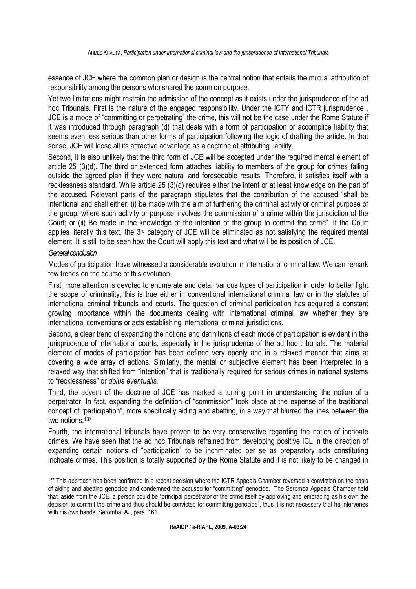essence of JCE where the common plan or design is the central notion that entails the mutual attribution of responsibility among the persons who shared the common purpose.

Yet two limitations might restrain the admission of the concept as it exists under the jurisprudence of the ad hoc Tribunals. First is the nature of the engaged responsibility. Under the ICTY and ICTR jurisprudence , JCE is a mode of "committing or perpetrating" the crime, this will not be the case under the Rome Statute if it was introduced through paragraph (d) that deals with a form of participation or accomplice liability that seems even less serious than other forms of participation following the logic of drafting the article. In that sense, JCE will loose all its attractive advantage as a doctrine of attributing liability.

Second, it is also unlikely that the third form of JCE will be accepted under the required mental element of article 25 (3)(d). The third or extended form attaches liability to members of the group for crimes falling outside the agreed plan if they were natural and foreseeable results. Therefore, it satisfies itself with a recklessness standard. While article 25 (3)(d) requires either the intent or at least knowledge on the part of the accused. Relevant parts of the paragraph stipulates that the contribution of the accused "shall be intentional and shall either: (i) be made with the aim of furthering the criminal activity or criminal purpose of the group, where such activity or purpose involves the commission of a crime within the jurisdiction of the Court; or (ii) Be made in the knowledge of the intention of the group to commit the crime". If the Court applies literally this text, the 3<sup>rd</sup> category of JCE will be eliminated as not satisfying the required mental element. It is still to be seen how the Court will apply this text and what will be its position of JCE.

# *General conclusion*

Modes of participation have witnessed a considerable evolution in international criminal law. We can remark few trends on the course of this evolution.

First, more attention is devoted to enumerate and detail various types of participation in order to better fight the scope of criminality, this is true either in conventional international criminal law or in the statutes of international criminal tribunals and courts. The question of criminal participation has acquired a constant growing importance within the documents dealing with international criminal law whether they are international conventions or acts establishing international criminal jurisdictions.

Second, a clear trend of expanding the notions and definitions of each mode of participation is evident in the jurisprudence of international courts, especially in the jurisprudence of the ad hoc tribunals. The material element of modes of participation has been defined very openly and in a relaxed manner that aims at covering a wide array of actions. Similarly, the mental or subjective element has been interpreted in a relaxed way that shifted from "intention" that is traditionally required for serious crimes in national systems to "recklessness" or *dolus eventualis.* 

Third, the advent of the doctrine of JCE has marked a turning point in understanding the notion of a perpetrator. In fact, expanding the definition of "commission" took place at the expense of the traditional concept of "participation", more specifically aiding and abetting, in a way that blurred the lines between the two notions.<sup>137</sup>

Fourth, the international tribunals have proven to be very conservative regarding the notion of inchoate crimes. We have seen that the ad hoc Tribunals refrained from developing positive ICL in the direction of expanding certain notions of "participation" to be incriminated per se as preparatory acts constituting inchoate crimes. This position is totally supported by the Rome Statute and it is not likely to be changed in

 <sup>137</sup> This approach has been confirmed in a recent decision where the ICTR Appeals Chamber reversed a conviction on the basis of aiding and abetting genocide and condemned the accused for "committing" genocide. The Seromba Appeals Chamber held that, aside from the JCE, a person could be "principal perpetrator of the crime itself by approving and embracing as his own the decision to commit the crime and thus should be convicted for committing genocide", thus it is not necessary that he intervenes with his own hands. Seromba, AJ, para. 161.